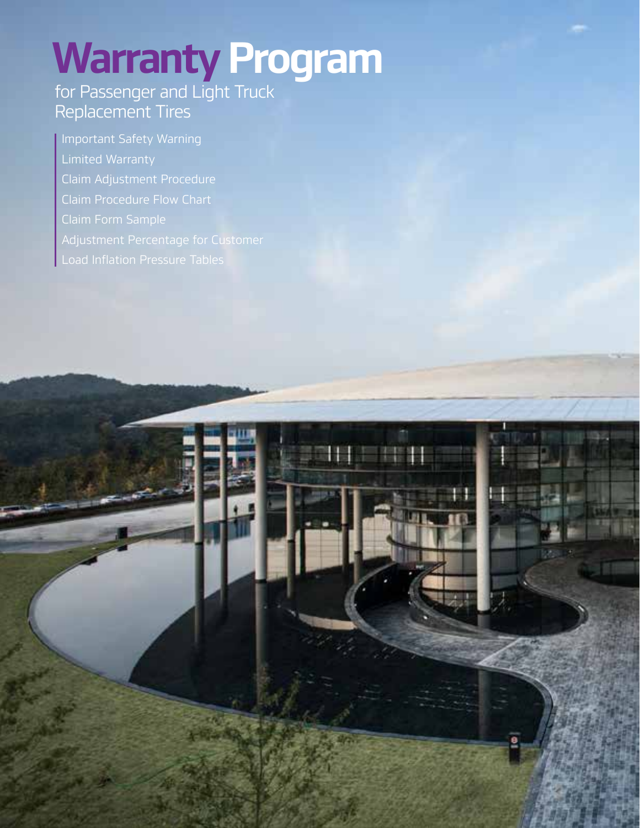# **Warranty Program**

### for Passenger and Light Truck Replacement Tires

Important Safety Warning Claim Adjustment Procedure Adjustment Percentage for Customer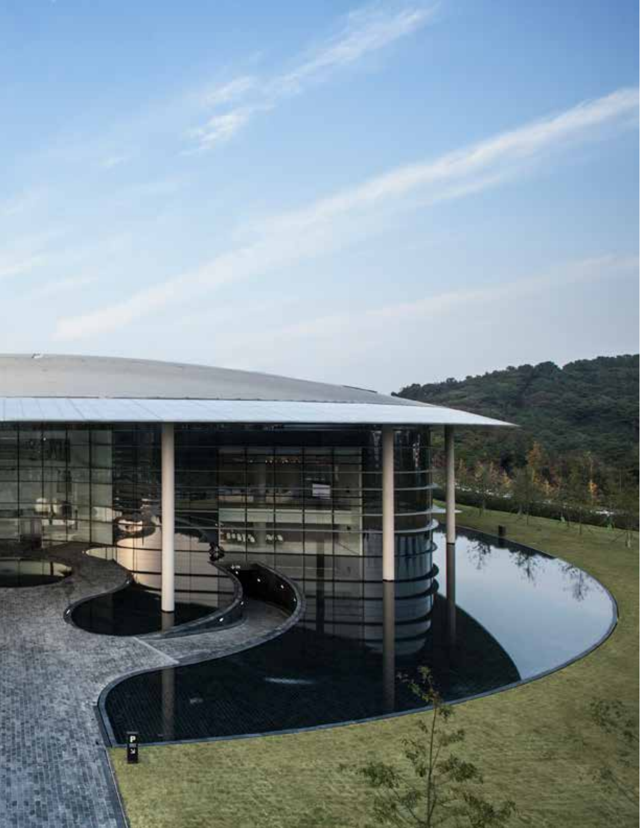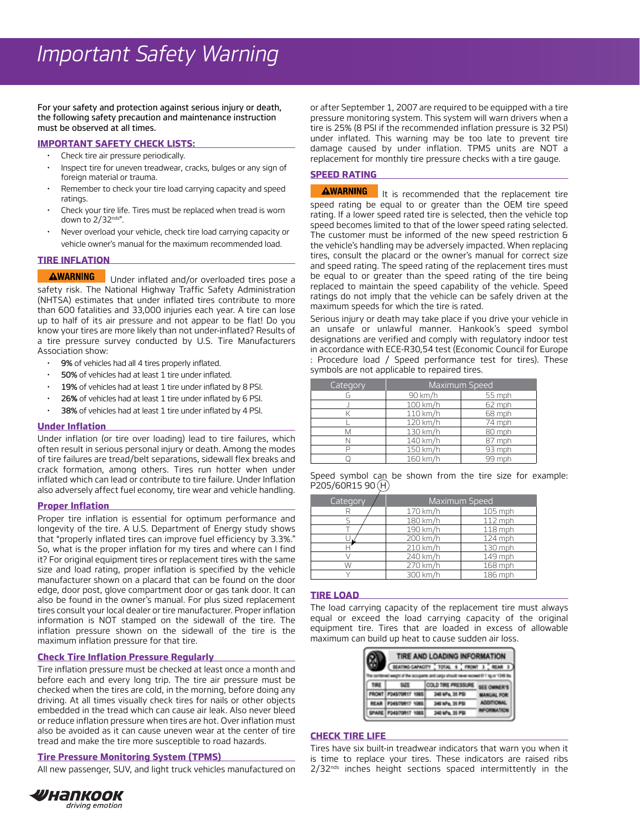# Important Safety Warning

For your safety and protection against serious injury or death, the following safety precaution and maintenance instruction must be observed at all times.

### **IMPORTANT SAFETY CHECK LISTS:**

- Check tire air pressure periodically.
- Inspect tire for uneven treadwear, cracks, bulges or any sign of foreign material or trauma.
- Remember to check your tire load carrying capacity and speed ratings.
- Check your tire life. Tires must be replaced when tread is worn down to 2/32nds".
- Never overload your vehicle, check tire load carrying capacity or vehicle owner's manual for the maximum recommended load.

### **TIRE INFLATION**

**AWARNING** Under inflated and/or overloaded tires pose a safety risk. The National Highway Traffic Safety Administration (NHTSA) estimates that under inflated tires contribute to more than 600 fatalities and 33,000 injuries each year. A tire can lose up to half of its air pressure and not appear to be flat! Do you know your tires are more likely than not under-inflated? Results of a tire pressure survey conducted by U.S. Tire Manufacturers Association show:

- 9% of vehicles had all 4 tires properly inflated.
- 50% of vehicles had at least 1 tire under inflated.
- 19% of vehicles had at least 1 tire under inflated by 8 PSI.
- 26**%** of vehicles had at least 1 tire under inflated by 6 PSI.
- 38% of vehicles had at least 1 tire under inflated by 4 PSI.

### **Under Inflation**

Under inflation (or tire over loading) lead to tire failures, which often result in serious personal injury or death. Among the modes of tire failures are tread/belt separations, sidewall flex breaks and crack formation, among others. Tires run hotter when under inflated which can lead or contribute to tire failure. Under Inflation also adversely affect fuel economy, tire wear and vehicle handling.

### **Proper Inflation**

Proper tire inflation is essential for optimum performance and longevity of the tire. A U.S. Department of Energy study shows that "properly inflated tires can improve fuel efficiency by 3.3%." So, what is the proper inflation for my tires and where can I find it? For original equipment tires or replacement tires with the same size and load rating, proper inflation is specified by the vehicle manufacturer shown on a placard that can be found on the door edge, door post, glove compartment door or gas tank door. It can also be found in the owner's manual. For plus sized replacement tires consult your local dealer or tire manufacturer. Proper inflation information is NOT stamped on the sidewall of the tire. The inflation pressure shown on the sidewall of the tire is the maximum inflation pressure for that tire.

### **Check Tire Inflation Pressure Regularly**

Tire inflation pressure must be checked at least once a month and before each and every long trip. The tire air pressure must be checked when the tires are cold, in the morning, before doing any driving. At all times visually check tires for nails or other objects embedded in the tread which can cause air leak. Also never bleed or reduce inflation pressure when tires are hot. Over inflation must also be avoided as it can cause uneven wear at the center of tire tread and make the tire more susceptible to road hazards.

### **Tire Pressure Monitoring System (TPMS)**

All new passenger, SUV, and light truck vehicles manufactured on



or after September 1, 2007 are required to be equipped with a tire pressure monitoring system. This system will warn drivers when a tire is 25% (8 PSI if the recommended inflation pressure is 32 PSI) under inflated. This warning may be too late to prevent tire damage caused by under inflation. TPMS units are NOT a replacement for monthly tire pressure checks with a tire gauge.

### **SPEED RATING**

**AWARNING**  It is recommended that the replacement tire speed rating be equal to or greater than the OEM tire speed rating. If a lower speed rated tire is selected, then the vehicle top speed becomes limited to that of the lower speed rating selected. The customer must be informed of the new speed restriction & the vehicle's handling may be adversely impacted. When replacing tires, consult the placard or the owner's manual for correct size and speed rating. The speed rating of the replacement tires must be equal to or greater than the speed rating of the tire being replaced to maintain the speed capability of the vehicle. Speed ratings do not imply that the vehicle can be safely driven at the maximum speeds for which the tire is rated.

Serious injury or death may take place if you drive your vehicle in an unsafe or unlawful manner. Hankook's speed symbol designations are verified and comply with regulatory indoor test in accordance with ECE-R30,54 test (Economic Council for Europe : Procedure load / Speed performance test for tires). These symbols are not applicable to repaired tires.

| Category | <b>Maximum Speed</b> |        |  |  |  |  |  |  |
|----------|----------------------|--------|--|--|--|--|--|--|
|          | 90 km/h              | 55 mph |  |  |  |  |  |  |
|          | 100 km/h             | 62 mph |  |  |  |  |  |  |
|          | 110 km/h             | 68 mph |  |  |  |  |  |  |
|          | 120 km/h             | 74 mph |  |  |  |  |  |  |
|          | 130 km/h             | 80 mph |  |  |  |  |  |  |
|          | 140 km/h             | 87 mph |  |  |  |  |  |  |
|          | 150 km/h             | 93 mph |  |  |  |  |  |  |
|          | 160 km/h             | 99 mph |  |  |  |  |  |  |

|                 |  |  |  |  | Speed symbol can be shown from the tire size for example: |
|-----------------|--|--|--|--|-----------------------------------------------------------|
| P205/60R1590(H) |  |  |  |  |                                                           |

| <b>Category</b> | <b>Maximum Speed</b> |           |  |  |  |  |  |  |
|-----------------|----------------------|-----------|--|--|--|--|--|--|
|                 | 170 km/h             | 105 mph   |  |  |  |  |  |  |
|                 | 180 km/h             | 112 mph   |  |  |  |  |  |  |
|                 | 190 km/h             | $118$ mph |  |  |  |  |  |  |
|                 | 200 km/h             | 124 mph   |  |  |  |  |  |  |
|                 | 210 km/h             | 130 mph   |  |  |  |  |  |  |
|                 | 240 km/h             | 149 mph   |  |  |  |  |  |  |
|                 | 270 km/h             | 168 mph   |  |  |  |  |  |  |
|                 | 300 km/h             | 186 mph   |  |  |  |  |  |  |

### **TIRE LOAD**

The load carrying capacity of the replacement tire must always equal or exceed the load carrying capacity of the original equipment tire. Tires that are loaded in excess of allowable maximum can build up heat to cause sudden air loss.

| TIRE AND LOADING INFORMATION |                      |                                             |            |  |  |  |  |  |  |  |  |  |
|------------------------------|----------------------|---------------------------------------------|------------|--|--|--|--|--|--|--|--|--|
|                              |                      | SEATING CAPACITY , TOTAL 6 , FRONT 3 , REAR |            |  |  |  |  |  |  |  |  |  |
|                              |                      |                                             |            |  |  |  |  |  |  |  |  |  |
| TIRE                         | 523                  | COLD TIRE PRESSURE                          |            |  |  |  |  |  |  |  |  |  |
|                              | FRONT P24570R17 1065 | 240 M/s, 35 PSI                             |            |  |  |  |  |  |  |  |  |  |
|                              | REAR POISTURY 1085   | 240 M/s. 35 PSI                             | ADDITIONAL |  |  |  |  |  |  |  |  |  |
|                              | SPARE PO4570R17 1065 | 240 M/s, 35 PSI                             |            |  |  |  |  |  |  |  |  |  |
|                              |                      |                                             |            |  |  |  |  |  |  |  |  |  |

### **CHECK TIRE LIFE**

Tires have six built-in treadwear indicators that warn you when it is time to replace your tires. These indicators are raised ribs 2/32<sup>nds</sup> inches height sections spaced intermittently in the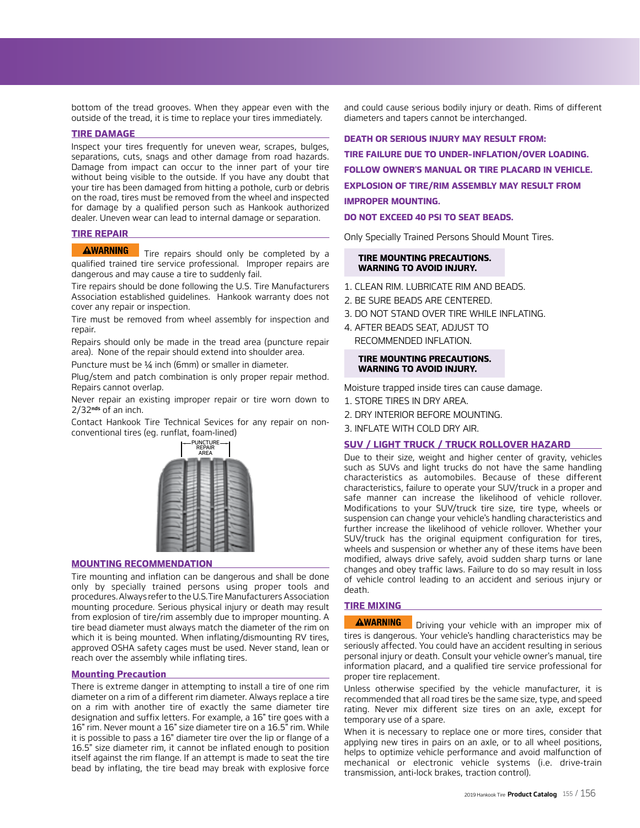bottom of the tread grooves. When they appear even with the outside of the tread, it is time to replace your tires immediately.

### **TIRE DAMAGE**

Inspect your tires frequently for uneven wear, scrapes, bulges, separations, cuts, snags and other damage from road hazards. Damage from impact can occur to the inner part of your tire without being visible to the outside. If you have any doubt that your tire has been damaged from hitting a pothole, curb or debris on the road, tires must be removed from the wheel and inspected for damage by a qualified person such as Hankook authorized dealer. Uneven wear can lead to internal damage or separation.

### **TIRE REPAIR**

#### AWARNING

Tire repairs should only be completed by a qualified trained tire service professional. Improper repairs are dangerous and may cause a tire to suddenly fail.

Tire repairs should be done following the U.S. Tire Manufacturers Association established guidelines. Hankook warranty does not cover any repair or inspection.

Tire must be removed from wheel assembly for inspection and repair.

Repairs should only be made in the tread area (puncture repair area). None of the repair should extend into shoulder area.

Puncture must be ¼ inch (6mm) or smaller in diameter.

Plug/stem and patch combination is only proper repair method. Repairs cannot overlap.

Never repair an existing improper repair or tire worn down to 2/32**nds** of an inch.

Contact Hankook Tire Technical Sevices for any repair on nonconventional tires (eg. runflat, foam-lined)



### **MOUNTING RECOMMENDATION**

Tire mounting and inflation can be dangerous and shall be done only by specially trained persons using proper tools and procedures. Always refer to the U.S. Tire Manufacturers Association mounting procedure. Serious physical injury or death may result from explosion of tire/rim assembly due to improper mounting. A tire bead diameter must always match the diameter of the rim on which it is being mounted. When inflating/dismounting RV tires, approved OSHA safety cages must be used. Never stand, lean or reach over the assembly while inflating tires.

### **Mounting Precaution**

There is extreme danger in attempting to install a tire of one rim diameter on a rim of a different rim diameter. Always replace a tire on a rim with another tire of exactly the same diameter tire designation and suffix letters. For example, a 16" tire goes with a 16" rim. Never mount a 16" size diameter tire on a 16.5" rim. While it is possible to pass a 16" diameter tire over the lip or flange of a 16.5" size diameter rim, it cannot be inflated enough to position itself against the rim flange. If an attempt is made to seat the tire bead by inflating, the tire bead may break with explosive force

and could cause serious bodily injury or death. Rims of different diameters and tapers cannot be interchanged.

**DEATH OR SERIOUS INJURY MAY RESULT FROM: TIRE FAILURE DUE TO UNDER–INFLATION/OVER LOADING. FOLLOW OWNER'S MANUAL OR TIRE PLACARD IN VEHICLE. EXPLOSION OF TIRE/RIM ASSEMBLY MAY RESULT FROM IMPROPER MOUNTING.** 

**DO NOT EXCEED 40 PSI TO SEAT BEADS.**

Only Specially Trained Persons Should Mount Tires.

### **TIRE MOUNTING PRECAUTIONS. WARNING TO AVOID INJURY.**

- 1. CLEAN RIM. LUBRICATE RIM AND BEADS.
- 2. BE SURE BEADS ARE CENTERED.
- 3. DO NOT STAND OVER TIRE WHILE INFLATING.
- 4. AFTER BEADS SEAT, ADJUST TO RECOMMENDED INFLATION.

### TIRE MOUNTING PRECAUTIONS. **WARNING TO AVOID INJURY.**

Moisture trapped inside tires can cause damage.

- 1. STORE TIRES IN DRY AREA.
- 2. DRY INTERIOR BEFORE MOUNTING.
- 3. INFLATE WITH COLD DRY AIR.

### **SUV / LIGHT TRUCK / TRUCK ROLLOVER HAZARD**

Due to their size, weight and higher center of gravity, vehicles such as SUVs and light trucks do not have the same handling characteristics as automobiles. Because of these different characteristics, failure to operate your SUV/truck in a proper and safe manner can increase the likelihood of vehicle rollover. Modifications to your SUV/truck tire size, tire type, wheels or suspension can change your vehicle's handling characteristics and further increase the likelihood of vehicle rollover. Whether your SUV/truck has the original equipment configuration for tires. wheels and suspension or whether any of these items have been modified, always drive safely, avoid sudden sharp turns or lane changes and obey traffic laws. Failure to do so may result in loss of vehicle control leading to an accident and serious injury or death.

### **TIRE MIXING**

#### **AWARNING**  Driving your vehicle with an improper mix of tires is dangerous. Your vehicle's handling characteristics may be seriously affected. You could have an accident resulting in serious personal injury or death. Consult your vehicle owner's manual, tire information placard, and a qualified tire service professional for proper tire replacement.

Unless otherwise specified by the vehicle manufacturer, it is recommended that all road tires be the same size, type, and speed rating. Never mix different size tires on an axle, except for temporary use of a spare.

When it is necessary to replace one or more tires, consider that applying new tires in pairs on an axle, or to all wheel positions, helps to optimize vehicle performance and avoid malfunction of mechanical or electronic vehicle systems (i.e. drive-train transmission, anti-lock brakes, traction control).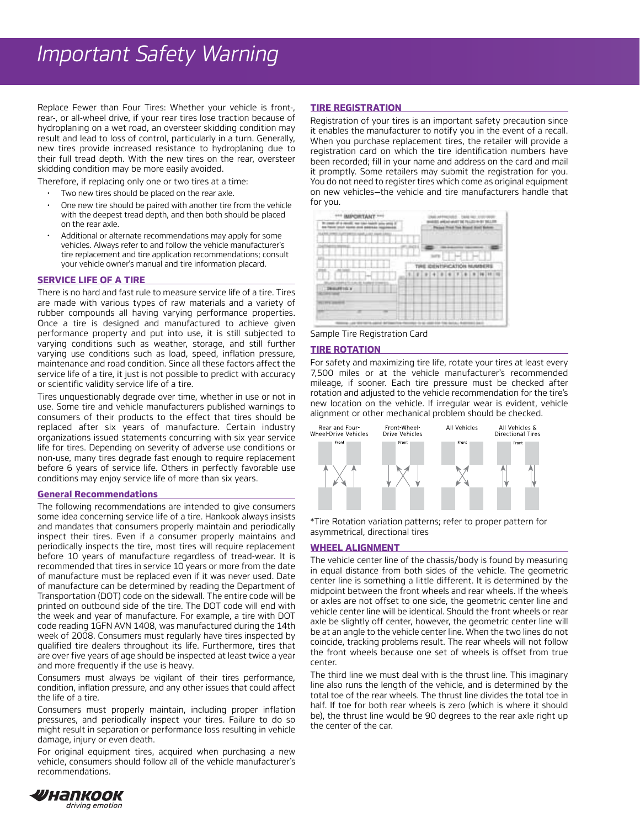# Important Safety Warning

Replace Fewer than Four Tires: Whether your vehicle is front-, rear-, or all-wheel drive, if your rear tires lose traction because of hydroplaning on a wet road, an oversteer skidding condition may result and lead to loss of control, particularly in a turn. Generally, new tires provide increased resistance to hydroplaning due to their full tread depth. With the new tires on the rear, oversteer skidding condition may be more easily avoided.

Therefore, if replacing only one or two tires at a time:

- Two new tires should be placed on the rear axle.
- One new tire should be paired with another tire from the vehicle with the deepest tread depth, and then both should be placed on the rear axle.
- Additional or alternate recommendations may apply for some vehicles. Always refer to and follow the vehicle manufacturer's tire replacement and tire application recommendations; consult your vehicle owner's manual and tire information placard.

### **SERVICE LIFE OF A TIRE**

There is no hard and fast rule to measure service life of a tire. Tires are made with various types of raw materials and a variety of rubber compounds all having varying performance properties. Once a tire is designed and manufactured to achieve given performance property and put into use, it is still subjected to varying conditions such as weather, storage, and still further varying use conditions such as load, speed, inflation pressure, maintenance and road condition. Since all these factors affect the service life of a tire, it just is not possible to predict with accuracy or scientific validity service life of a tire.

Tires unquestionably degrade over time, whether in use or not in use. Some tire and vehicle manufacturers published warnings to consumers of their products to the effect that tires should be replaced after six years of manufacture. Certain industry organizations issued statements concurring with six year service life for tires. Depending on severity of adverse use conditions or non-use, many tires degrade fast enough to require replacement before 6 years of service life. Others in perfectly favorable use conditions may enjoy service life of more than six years.

### **General Recommendations**

The following recommendations are intended to give consumers some idea concerning service life of a tire. Hankook always insists and mandates that consumers properly maintain and periodically inspect their tires. Even if a consumer properly maintains and periodically inspects the tire, most tires will require replacement before 10 years of manufacture regardless of tread-wear. It is recommended that tires in service 10 years or more from the date of manufacture must be replaced even if it was never used. Date of manufacture can be determined by reading the Department of Transportation (DOT) code on the sidewall. The entire code will be printed on outbound side of the tire. The DOT code will end with the week and year of manufacture. For example, a tire with DOT code reading 1GFN AVN 1408, was manufactured during the 14th week of 2008. Consumers must regularly have tires inspected by qualified tire dealers throughout its life. Furthermore, tires that are over five years of age should be inspected at least twice a year and more frequently if the use is heavy.

Consumers must always be vigilant of their tires performance, condition, inflation pressure, and any other issues that could affect the life of a tire.

Consumers must properly maintain, including proper inflation pressures, and periodically inspect your tires. Failure to do so might result in separation or performance loss resulting in vehicle damage, injury or even death.

For original equipment tires, acquired when purchasing a new vehicle, consumers should follow all of the vehicle manufacturer's recommendations.

### **TIRE REGISTRATION**

Registration of your tires is an important safety precaution since it enables the manufacturer to notify you in the event of a recall. When you purchase replacement tires, the retailer will provide a registration card on which the tire identification numbers have been recorded; fill in your name and address on the card and mail it promptly. Some retailers may submit the registration for you. You do not need to register tires which come as original equipment on new vehicles—the vehicle and tire manufacturers handle that for you.





### **TIRE ROTATION**

For safety and maximizing tire life, rotate your tires at least every 7,500 miles or at the vehicle manufacturer's recommended mileage, if sooner. Each tire pressure must be checked after rotation and adjusted to the vehicle recommendation for the tire's new location on the vehicle. If irregular wear is evident, vehicle alignment or other mechanical problem should be checked.



\*Tire Rotation variation patterns; refer to proper pattern for asymmetrical, directional tires

### **WHEEL ALIGNMENT**

The vehicle center line of the chassis/body is found by measuring in equal distance from both sides of the vehicle. The geometric center line is something a little different. It is determined by the midpoint between the front wheels and rear wheels. If the wheels or axles are not offset to one side, the geometric center line and vehicle center line will be identical. Should the front wheels or rear axle be slightly off center, however, the geometric center line will be at an angle to the vehicle center line. When the two lines do not coincide, tracking problems result. The rear wheels will not follow the front wheels because one set of wheels is offset from true center.

The third line we must deal with is the thrust line. This imaginary line also runs the length of the vehicle, and is determined by the total toe of the rear wheels. The thrust line divides the total toe in half. If toe for both rear wheels is zero (which is where it should be), the thrust line would be 90 degrees to the rear axle right up the center of the car.

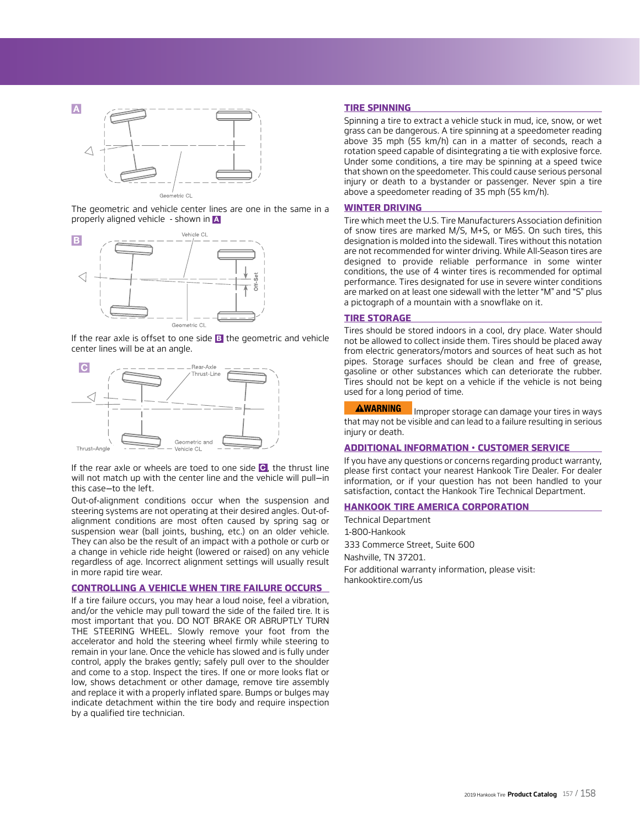

The geometric and vehicle center lines are one in the same in a properly aligned vehicle - shown in A



If the rear axle is offset to one side  $\mathbf{B}$  the geometric and vehicle center lines will be at an angle.



If the rear axle or wheels are toed to one side  $\mathsf{C}$ , the thrust line will not match up with the center line and the vehicle will pull—in this case—to the left.

Out-of-alignment conditions occur when the suspension and steering systems are not operating at their desired angles. Out-ofalignment conditions are most often caused by spring sag or suspension wear (ball joints, bushing, etc.) on an older vehicle. They can also be the result of an impact with a pothole or curb or a change in vehicle ride height (lowered or raised) on any vehicle regardless of age. Incorrect alignment settings will usually result in more rapid tire wear.

### **CONTROLLING A VEHICLE WHEN TIRE FAILURE OCCURS**

If a tire failure occurs, you may hear a loud noise, feel a vibration, and/or the vehicle may pull toward the side of the failed tire. It is most important that you. DO NOT BRAKE OR ABRUPTLY TURN THE STEERING WHEEL. Slowly remove your foot from the accelerator and hold the steering wheel firmly while steering to remain in your lane. Once the vehicle has slowed and is fully under control, apply the brakes gently; safely pull over to the shoulder and come to a stop. Inspect the tires. If one or more looks flat or low, shows detachment or other damage, remove tire assembly and replace it with a properly inflated spare. Bumps or bulges may indicate detachment within the tire body and require inspection by a qualified tire technician.

### **TIRE SPINNING**

Spinning a tire to extract a vehicle stuck in mud, ice, snow, or wet grass can be dangerous. A tire spinning at a speedometer reading above 35 mph (55 km/h) can in a matter of seconds, reach a rotation speed capable of disintegrating a tie with explosive force. Under some conditions, a tire may be spinning at a speed twice that shown on the speedometer. This could cause serious personal injury or death to a bystander or passenger. Never spin a tire above a speedometer reading of 35 mph (55 km/h).

### **WINTER DRIVING**

Tire which meet the U.S. Tire Manufacturers Association definition of snow tires are marked M/S, M+S, or M&S. On such tires, this designation is molded into the sidewall. Tires without this notation are not recommended for winter driving. While All-Season tires are designed to provide reliable performance in some winter conditions, the use of 4 winter tires is recommended for optimal performance. Tires designated for use in severe winter conditions are marked on at least one sidewall with the letter "M" and "S" plus a pictograph of a mountain with a snowflake on it.

### **TIRE STORAGE**

Tires should be stored indoors in a cool, dry place. Water should not be allowed to collect inside them. Tires should be placed away from electric generators/motors and sources of heat such as hot pipes. Storage surfaces should be clean and free of grease, gasoline or other substances which can deteriorate the rubber. Tires should not be kept on a vehicle if the vehicle is not being used for a long period of time.

**AWARNING** Improper storage can damage your tires in ways that may not be visible and can lead to a failure resulting in serious injury or death.

### **ADDITIONAL INFORMATION • CUSTOMER SERVICE**

If you have any questions or concerns regarding product warranty, please first contact your nearest Hankook Tire Dealer. For dealer information, or if your question has not been handled to your satisfaction, contact the Hankook Tire Technical Department.

#### **HANKOOK TIRE AMERICA CORPORATION**

Technical Department 1-800-Hankook 333 Commerce Street, Suite 600 Nashville, TN 37201. For additional warranty information, please visit: hankooktire.com/us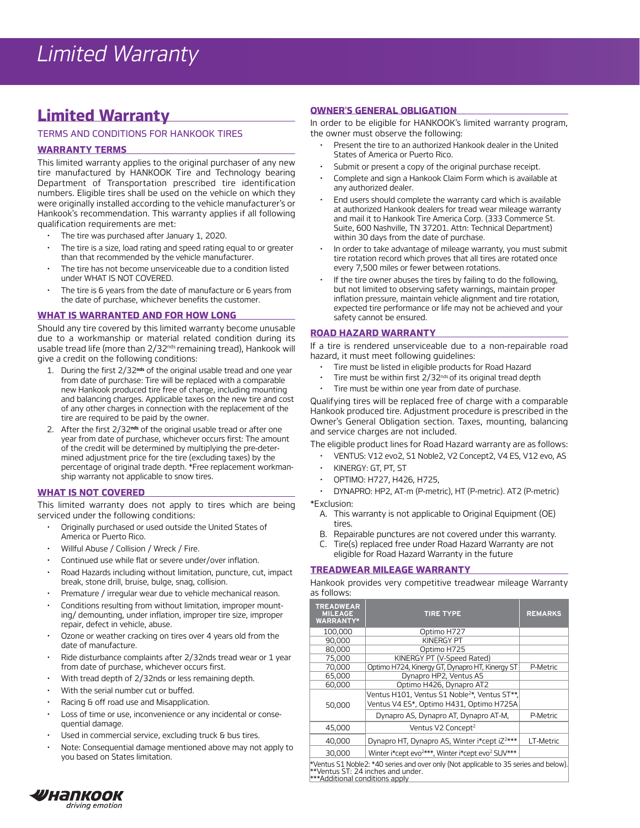### **Limited Warranty**

### TERMS AND CONDITIONS FOR HANKOOK TIRES

### **WARRANTY TERMS**

This limited warranty applies to the original purchaser of any new tire manufactured by HANKOOK Tire and Technology bearing Department of Transportation prescribed tire identification numbers. Eligible tires shall be used on the vehicle on which they were originally installed according to the vehicle manufacturer's or Hankook's recommendation. This warranty applies if all following qualification requirements are met:

- The tire was purchased after January 1, 2020.
- The tire is a size, load rating and speed rating equal to or greater than that recommended by the vehicle manufacturer.
- The tire has not become unserviceable due to a condition listed under WHAT IS NOT COVERED.
- The tire is 6 years from the date of manufacture or 6 years from the date of purchase, whichever benefits the customer.

### **WHAT IS WARRANTED AND FOR HOW LONG**

Should any tire covered by this limited warranty become unusable due to a workmanship or material related condition during its usable tread life (more than 2/32<sup>nds</sup> remaining tread), Hankook will give a credit on the following conditions:

- 1. During the first 2/32**nds** of the original usable tread and one year from date of purchase: Tire will be replaced with a comparable new Hankook produced tire free of charge, including mounting and balancing charges. Applicable taxes on the new tire and cost of any other charges in connection with the replacement of the tire are required to be paid by the owner.
- 2. After the first 2/32**nds** of the original usable tread or after one year from date of purchase, whichever occurs first: The amount of the credit will be determined by multiplying the pre-determined adjustment price for the tire (excluding taxes) by the percentage of original trade depth. \*Free replacement workmanship warranty not applicable to snow tires.

### **WHAT IS NOT COVERED**

This limited warranty does not apply to tires which are being serviced under the following conditions:

- Originally purchased or used outside the United States of America or Puerto Rico.
- Willful Abuse / Collision / Wreck / Fire.
- Continued use while flat or severe under/over inflation.
- Road Hazards including without limitation, puncture, cut, impact break, stone drill, bruise, bulge, snag, collision.
- Premature / irregular wear due to vehicle mechanical reason.
- Conditions resulting from without limitation, improper mounting/ demounting, under inflation, improper tire size, improper repair, defect in vehicle, abuse.
- Ozone or weather cracking on tires over 4 years old from the date of manufacture.
- Ride disturbance complaints after 2/32nds tread wear or 1 year from date of purchase, whichever occurs first.
- With tread depth of 2/32nds or less remaining depth.
- With the serial number cut or buffed.
- Racing & off road use and Misapplication.
- Loss of time or use, inconvenience or any incidental or consequential damage.
- Used in commercial service, excluding truck & bus tires.
- Note: Consequential damage mentioned above may not apply to you based on States limitation.

### **OWNER'S GENERAL OBLIGATION**

In order to be eligible for HANKOOK's limited warranty program, the owner must observe the following:

- Present the tire to an authorized Hankook dealer in the United States of America or Puerto Rico.
- Submit or present a copy of the original purchase receipt.
- Complete and sign a Hankook Claim Form which is available at any authorized dealer.
- End users should complete the warranty card which is available at authorized Hankook dealers for tread wear mileage warranty and mail it to Hankook Tire America Corp. (333 Commerce St. Suite, 600 Nashville, TN 37201. Attn: Technical Department) within 30 days from the date of purchase.
- In order to take advantage of mileage warranty, you must submit tire rotation record which proves that all tires are rotated once every 7,500 miles or fewer between rotations.
- If the tire owner abuses the tires by failing to do the following, but not limited to observing safety warnings, maintain proper inflation pressure, maintain vehicle alignment and tire rotation, expected tire performance or life may not be achieved and your safety cannot be ensured.

### **ROAD HAZARD WARRANTY**

If a tire is rendered unserviceable due to a non-repairable road hazard, it must meet following guidelines:

- Tire must be listed in eligible products for Road Hazard
- Tire must be within first 2/32<sup>nds</sup> of its original tread depth
- Tire must be within one year from date of purchase.

Qualifying tires will be replaced free of charge with a comparable Hankook produced tire. Adjustment procedure is prescribed in the Owner's General Obligation section. Taxes, mounting, balancing and service charges are not included.

The eligible product lines for Road Hazard warranty are as follows:

- VENTUS: V12 evo2, S1 Noble2, V2 Concept2, V4 ES, V12 evo, AS
- KINERGY: GT, PT, ST
- OPTIMO: H727, H426, H725,
- DYNAPRO: HP2, AT-m (P-metric), HT (P-metric). AT2 (P-metric) \*Exclusion:
	- A. This warranty is not applicable to Original Equipment (OE) tires.
	- B. Repairable punctures are not covered under this warranty.
	- C. Tire(s) replaced free under Road Hazard Warranty are not eligible for Road Hazard Warranty in the future

### **TREADWEAR MILEAGE WARRANTY**

Hankook provides very competitive treadwear mileage Warranty as follows:

| <b>TREADWEAR</b><br><b>MILEAGE</b><br><b>WARRANTY*</b> | <b>TIRE TYPE</b>                                                                                                          | <b>REMARKS</b> |
|--------------------------------------------------------|---------------------------------------------------------------------------------------------------------------------------|----------------|
| 100,000                                                | Optimo H727                                                                                                               |                |
| 90,000                                                 | <b>KINERGY PT</b>                                                                                                         |                |
| 80,000                                                 | Optimo H725                                                                                                               |                |
| 75,000                                                 | KINERGY PT (V-Speed Rated)                                                                                                |                |
| 70,000                                                 | Optimo H724, Kinergy GT, Dynapro HT, Kinergy ST                                                                           | P-Metric       |
| 65,000                                                 | Dynapro HP2, Ventus AS                                                                                                    |                |
| 60,000                                                 | Optimo H426, Dynapro AT2                                                                                                  |                |
| 50,000                                                 | Ventus H101, Ventus S1 Noble <sup>2*</sup> , Ventus ST <sup>**</sup> ,<br>Ventus V4 ES*, Optimo H431, Optimo H725A        |                |
|                                                        | Dynapro AS, Dynapro AT, Dynapro AT-M,                                                                                     | P-Metric       |
| 45,000                                                 | Ventus V2 Concept <sup>2</sup>                                                                                            |                |
| 40,000                                                 | Dynapro HT, Dynapro AS, Winter i*cept iZ2***                                                                              | LT-Metric      |
| 30,000                                                 | Winter i*cept evo <sup>2***</sup> , Winter i*cept evo <sup>2</sup> SUV***                                                 |                |
| ***Additional conditions apply                         | *Ventus S1 Noble2: *40 series and over only (Not applicable to 35 series and below).<br>**Ventus ST: 24 inches and under. |                |

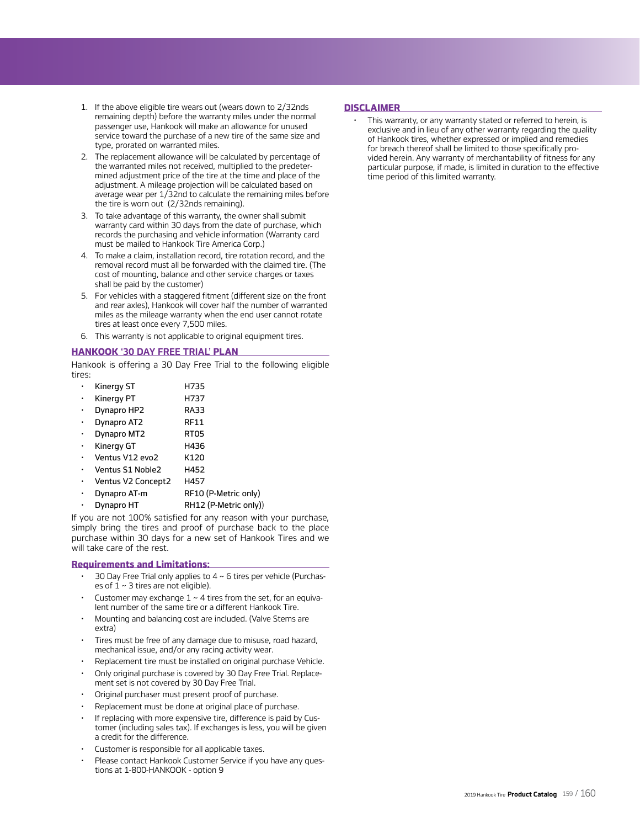- 1. If the above eligible tire wears out (wears down to 2/32nds remaining depth) before the warranty miles under the normal passenger use, Hankook will make an allowance for unused service toward the purchase of a new tire of the same size and type, prorated on warranted miles.
- 2. The replacement allowance will be calculated by percentage of the warranted miles not received, multiplied to the predetermined adjustment price of the tire at the time and place of the adjustment. A mileage projection will be calculated based on average wear per 1/32nd to calculate the remaining miles before the tire is worn out (2/32nds remaining).
- 3. To take advantage of this warranty, the owner shall submit warranty card within 30 days from the date of purchase, which records the purchasing and vehicle information (Warranty card must be mailed to Hankook Tire America Corp.)
- 4. To make a claim, installation record, tire rotation record, and the removal record must all be forwarded with the claimed tire. (The cost of mounting, balance and other service charges or taxes shall be paid by the customer)
- 5. For vehicles with a staggered fitment (different size on the front and rear axles), Hankook will cover half the number of warranted miles as the mileage warranty when the end user cannot rotate tires at least once every 7,500 miles.
- 6. This warranty is not applicable to original equipment tires.

### **HANKOOK '30 DAY FREE TRIAL' PLAN**

Hankook is offering a 30 Day Free Trial to the following eligible tires:

| Kinergy ST       | H735             |
|------------------|------------------|
| Kinergy PT       | H737             |
| Dynapro HP2      | <b>RA33</b>      |
| Dynapro AT2      | <b>RF11</b>      |
| Dynapro MT2      | RT <sub>05</sub> |
| Kineray GT       | H436             |
| Ventus V12 evo2  | K120             |
| Ventus S1 Noble2 | H452             |
|                  |                  |

- Ventus V2 Concept2 H457
- Dynapro AT-m RF10 (P-Metric only)
- Dynapro HT RH12 (P-Metric only))

If you are not 100% satisfied for any reason with your purchase, simply bring the tires and proof of purchase back to the place purchase within 30 days for a new set of Hankook Tires and we will take care of the rest.

### **Requirements and Limitations:**

- 30 Day Free Trial only applies to  $4 \sim 6$  tires per vehicle (Purchases of  $1 \sim 3$  tires are not eligible).
- Customer may exchange  $1 \sim 4$  tires from the set, for an equivalent number of the same tire or a different Hankook Tire.
- Mounting and balancing cost are included. (Valve Stems are extra)
- Tires must be free of any damage due to misuse, road hazard, mechanical issue, and/or any racing activity wear.
- Replacement tire must be installed on original purchase Vehicle.
- Only original purchase is covered by 30 Day Free Trial. Replacement set is not covered by 30 Day Free Trial.
- Original purchaser must present proof of purchase.
- Replacement must be done at original place of purchase.
- If replacing with more expensive tire, difference is paid by Customer (including sales tax). If exchanges is less, you will be given a credit for the difference.
- Customer is responsible for all applicable taxes.
- Please contact Hankook Customer Service if you have any questions at 1-800-HANKOOK - option 9

### **DISCLAIMER**

• This warranty, or any warranty stated or referred to herein, is exclusive and in lieu of any other warranty regarding the quality of Hankook tires, whether expressed or implied and remedies for breach thereof shall be limited to those specifically provided herein. Any warranty of merchantability of fitness for any particular purpose, if made, is limited in duration to the effective time period of this limited warranty.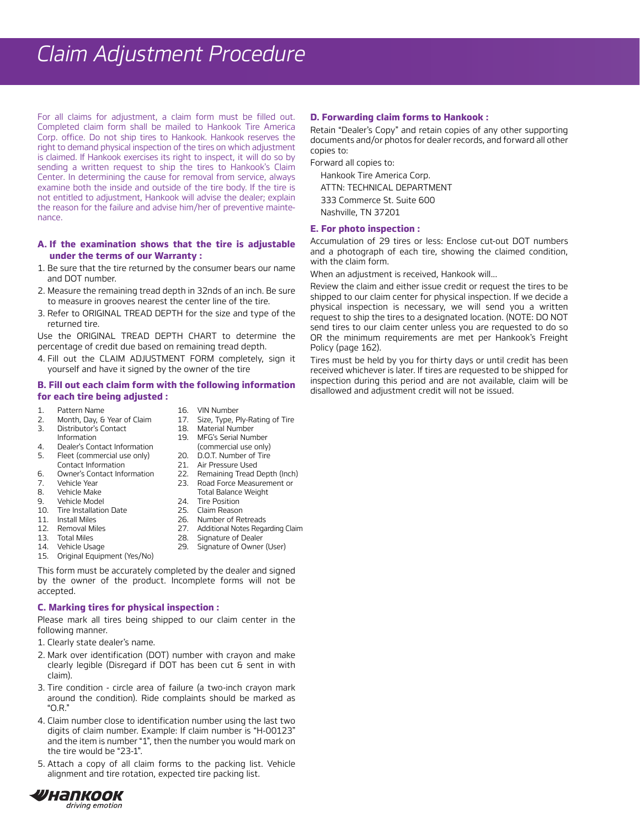# Claim Adjustment Procedure

For all claims for adjustment, a claim form must be filled out. Completed claim form shall be mailed to Hankook Tire America Corp. office. Do not ship tires to Hankook. Hankook reserves the right to demand physical inspection of the tires on which adjustment is claimed. If Hankook exercises its right to inspect, it will do so by sending a written request to ship the tires to Hankook's Claim Center. In determining the cause for removal from service, always examine both the inside and outside of the tire body. If the tire is not entitled to adjustment, Hankook will advise the dealer; explain the reason for the failure and advise him/her of preventive maintenance.

### **A. If the examination shows that the tire is adjustable under the terms of our Warranty :**

- 1. Be sure that the tire returned by the consumer bears our name and DOT number.
- 2. Measure the remaining tread depth in 32nds of an inch. Be sure to measure in grooves nearest the center line of the tire.
- 3. Refer to ORIGINAL TREAD DEPTH for the size and type of the returned tire.

Use the ORIGINAL TREAD DEPTH CHART to determine the percentage of credit due based on remaining tread depth.

4. Fill out the CLAIM ADJUSTMENT FORM completely, sign it yourself and have it signed by the owner of the tire

### **B. Fill out each claim form with the following information for each tire being adjusted :**

- 1. Pattern Name
- 2. Month, Day, & Year of Claim
- 3. Distributor's Contact
	- Information
- 4. Dealer's Contact Information
- 5. Fleet (commercial use only)
- Contact Information 6. Owner's Contact Information
- 7. Vehicle Year
- 8. Vehicle Make
- 9. Vehicle Model
- 10. Tire Installation Date
- 11. Install Miles
- 12. Removal Miles
- 13. Total Miles
- 14. Vehicle Usage
- 15. Original Equipment (Yes/No)
- This form must be accurately completed by the dealer and signed by the owner of the product. Incomplete forms will not be accepted.

### **C. Marking tires for physical inspection :**

Please mark all tires being shipped to our claim center in the following manner.

- 1. Clearly state dealer's name.
- 2. Mark over identification (DOT) number with crayon and make clearly legible (Disregard if DOT has been cut & sent in with claim).
- 3. Tire condition circle area of failure (a two-inch crayon mark around the condition). Ride complaints should be marked as "O.R."
- 4. Claim number close to identification number using the last two digits of claim number. Example: If claim number is "H-00123" and the item is number "1", then the number you would mark on the tire would be "23-1".
- 5. Attach a copy of all claim forms to the packing list. Vehicle alignment and tire rotation, expected tire packing list.



### **D. Forwarding claim forms to Hankook :**

Retain "Dealer's Copy" and retain copies of any other supporting documents and/or photos for dealer records, and forward all other copies to:

Forward all copies to:

Hankook Tire America Corp. ATTN: TECHNICAL DEPARTMENT 333 Commerce St. Suite 600

Nashville, TN 37201

### **E. For photo inspection :**

Accumulation of 29 tires or less: Enclose cut-out DOT numbers and a photograph of each tire, showing the claimed condition, with the claim form.

When an adjustment is received, Hankook will...

Review the claim and either issue credit or request the tires to be shipped to our claim center for physical inspection. If we decide a physical inspection is necessary, we will send you a written request to ship the tires to a designated location. (NOTE: DO NOT send tires to our claim center unless you are requested to do so OR the minimum requirements are met per Hankook's Freight Policy (page 162).

Tires must be held by you for thirty days or until credit has been received whichever is later. If tires are requested to be shipped for inspection during this period and are not available, claim will be disallowed and adjustment credit will not be issued.

**Total Balance Weight** 24. Tire Position

16. VIN Number

18. Material Number 19. MFG's Serial Number (commercial use only) 20. D.O.T. Number of Tire 21. Air Pressure Used

- 25. Claim Reason
- 26. Number of Retreads

22. Remaining Tread Depth (Inch) 23. Road Force Measurement or

17. Size, Type, Ply-Rating of Tire

- 27. Additional Notes Regarding Claim 28. Signature of Dealer
- 29. Signature of Owner (User)
	-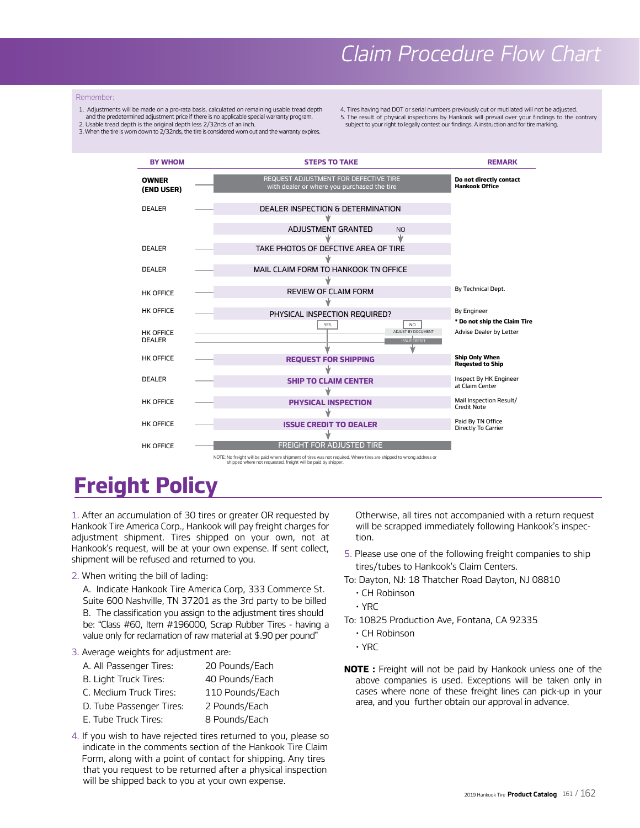# Claim Procedure Flow Chart

#### Remember:

- 1. Adjustments will be made on a pro-rata basis, calculated on remaining usable tread depth and the predetermined adjustment price if there is no applicable special warranty program.
- 2. Usable tread depth is the original depth less 2/32nds of an inch.
- 3. When the tire is worn down to  $2/32$ nds, the tire is considered worn out and the warranty expires.

4. Tires having had DOT or serial numbers previously cut or mutilated will not be adjusted. 5. The result of physical inspections by Hankook will prevail over your findings to the contrary subject to your right to legally contest our findings. A instruction and for tire marking.



shipped where the most research will be paid by shipper.

### **Freight Policy**

1. After an accumulation of 30 tires or greater OR requested by Hankook Tire America Corp., Hankook will pay freight charges for adjustment shipment. Tires shipped on your own, not at Hankook's request, will be at your own expense. If sent collect, shipment will be refused and returned to you.

### 2. When writing the bill of lading:

A. Indicate Hankook Tire America Corp, 333 Commerce St. Suite 600 Nashville, TN 37201 as the 3rd party to be billed B. The classification you assign to the adjustment tires should be: "Class #60, Item #196000, Scrap Rubber Tires - having a value only for reclamation of raw material at \$.90 per pound"

3. Average weights for adjustment are:

| A. All Passenger Tires:  | 20 Pounds/Each  |
|--------------------------|-----------------|
| B. Light Truck Tires:    | 40 Pounds/Each  |
| C. Medium Truck Tires:   | 110 Pounds/Each |
| D. Tube Passenger Tires: | 2 Pounds/Each   |
| E. Tube Truck Tires:     | 8 Pounds/Each   |

4. If you wish to have rejected tires returned to you, please so indicate in the comments section of the Hankook Tire Claim Form, along with a point of contact for shipping. Any tires that you request to be returned after a physical inspection will be shipped back to you at your own expense.

Otherwise, all tires not accompanied with a return request will be scrapped immediately following Hankook's inspection.

- 5. Please use one of the following freight companies to ship tires/tubes to Hankook's Claim Centers.
- To: Dayton, NJ: 18 Thatcher Road Dayton, NJ 08810
	- CH Robinson
	- YRC
- To: 10825 Production Ave, Fontana, CA 92335
	- CH Robinson
	- YRC
- **NOTE :** Freight will not be paid by Hankook unless one of the above companies is used. Exceptions will be taken only in cases where none of these freight lines can pick-up in your area, and you further obtain our approval in advance.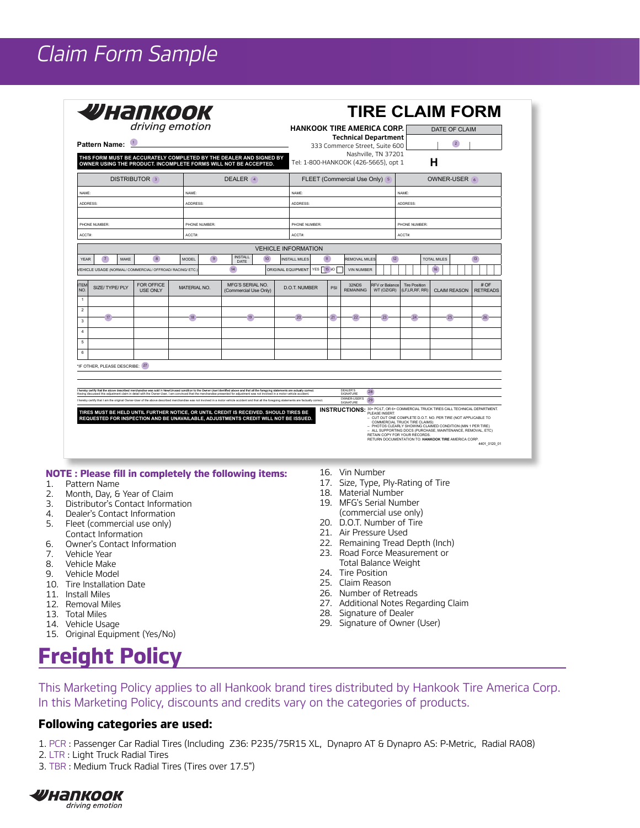| <b>Pattern Name:</b>                                                                                                                                                                                                                                                                                                                                                                                                                                                                                                                                                                                        | driving emotion       |                              | <b>HANKOOK TIRE AMERICA CORP.</b>      |                                                           | <b>Technical Department</b><br>333 Commerce Street, Suite 600 |                                      | DATE OF CLAIM<br>$\overline{2}$                                                                                                                                                                                                                                                  |                  |
|-------------------------------------------------------------------------------------------------------------------------------------------------------------------------------------------------------------------------------------------------------------------------------------------------------------------------------------------------------------------------------------------------------------------------------------------------------------------------------------------------------------------------------------------------------------------------------------------------------------|-----------------------|------------------------------|----------------------------------------|-----------------------------------------------------------|---------------------------------------------------------------|--------------------------------------|----------------------------------------------------------------------------------------------------------------------------------------------------------------------------------------------------------------------------------------------------------------------------------|------------------|
| THIS FORM MUST BE ACCURATELY COMPLETED BY THE DEALER AND SIGNED BY<br>OWNER USING THE PRODUCT. INCOMPLETE FORMS WILL NOT BE ACCEPTED.                                                                                                                                                                                                                                                                                                                                                                                                                                                                       |                       |                              | Tel: 1-800-HANKOOK (426-5665), opt 1   |                                                           | Nashville, TN 37201                                           |                                      | н                                                                                                                                                                                                                                                                                |                  |
| DISTRIBUTOR 3                                                                                                                                                                                                                                                                                                                                                                                                                                                                                                                                                                                               |                       | DEALER <sub>4</sub>          |                                        |                                                           | FLEET (Commercial Use Only) 5                                 |                                      | OWNER-USER 6                                                                                                                                                                                                                                                                     |                  |
| NAME:                                                                                                                                                                                                                                                                                                                                                                                                                                                                                                                                                                                                       | NAME:                 |                              | NAME:                                  |                                                           |                                                               | NAME:                                |                                                                                                                                                                                                                                                                                  |                  |
| <b>ADDRESS</b>                                                                                                                                                                                                                                                                                                                                                                                                                                                                                                                                                                                              | <b>ADDRESS</b>        |                              | <b>ADDRESS</b>                         |                                                           |                                                               | ADDRESS:                             |                                                                                                                                                                                                                                                                                  |                  |
|                                                                                                                                                                                                                                                                                                                                                                                                                                                                                                                                                                                                             |                       |                              |                                        |                                                           |                                                               |                                      |                                                                                                                                                                                                                                                                                  |                  |
| PHONE NUMBER:<br>ACCT#:                                                                                                                                                                                                                                                                                                                                                                                                                                                                                                                                                                                     | PHONE NUMBER<br>ACCT# |                              | PHONE NUMBER<br>ACCT#                  |                                                           |                                                               | PHONE NUMBER:<br>ACCT#               |                                                                                                                                                                                                                                                                                  |                  |
|                                                                                                                                                                                                                                                                                                                                                                                                                                                                                                                                                                                                             |                       |                              | <b>VEHICLE INFORMATION</b>             |                                                           |                                                               |                                      |                                                                                                                                                                                                                                                                                  |                  |
| $\mathbf{8}$<br>YEAR<br>MAKE<br>$7\overline{ }$                                                                                                                                                                                                                                                                                                                                                                                                                                                                                                                                                             | 9<br>MODEL            | <b>INSTALL</b><br>10<br>DATE | <b>INSTALL MILES</b><br>$11^\circ$     |                                                           | REMOVAL MILES                                                 | 12                                   | <b>TOTAL MILES</b>                                                                                                                                                                                                                                                               | 13 <sub>1</sub>  |
| VEHICLE USAGE (NORMAL/ COMMERCIAL/ OFFROAD/ RACING/ ETC                                                                                                                                                                                                                                                                                                                                                                                                                                                                                                                                                     |                       | 14                           | <b>YES</b> 15 10<br>ORIGINAL EQUIPMENT |                                                           | <b>VIN NUMBER</b>                                             |                                      | 16 <sup>°</sup>                                                                                                                                                                                                                                                                  |                  |
| FOR OFFICE<br><b>ITEM</b><br>SIZE/TYPE/PLY<br>NO.                                                                                                                                                                                                                                                                                                                                                                                                                                                                                                                                                           | MATERIAL NO.          | MFG'S SERIAL NO.             | D.O.T. NUMBER                          | PSI                                                       | 32NDS<br>RFV or Balance<br><b>REMAINING</b><br>WT (OZ/GR)     | <b>Tire Position</b>                 |                                                                                                                                                                                                                                                                                  | # OF             |
| <b>USE ONLY</b><br>$\mathbf{1}$                                                                                                                                                                                                                                                                                                                                                                                                                                                                                                                                                                             |                       | (Commercial Use Only)        |                                        |                                                           |                                                               | (LF,LR,RF, RR)                       | <b>CLAIM REASON</b>                                                                                                                                                                                                                                                              | <b>RETREADS</b>  |
| $\overline{\mathbf{2}}$                                                                                                                                                                                                                                                                                                                                                                                                                                                                                                                                                                                     |                       |                              |                                        |                                                           |                                                               |                                      |                                                                                                                                                                                                                                                                                  |                  |
| $\mathsf 3$                                                                                                                                                                                                                                                                                                                                                                                                                                                                                                                                                                                                 |                       | 19                           | 20                                     | 21                                                        | 23<br>22                                                      | $24\,$                               |                                                                                                                                                                                                                                                                                  | $26\phantom{.0}$ |
| 4<br>$\,$ 5 $\,$                                                                                                                                                                                                                                                                                                                                                                                                                                                                                                                                                                                            |                       |                              |                                        |                                                           |                                                               |                                      |                                                                                                                                                                                                                                                                                  |                  |
|                                                                                                                                                                                                                                                                                                                                                                                                                                                                                                                                                                                                             |                       |                              |                                        |                                                           |                                                               |                                      |                                                                                                                                                                                                                                                                                  |                  |
| 6                                                                                                                                                                                                                                                                                                                                                                                                                                                                                                                                                                                                           |                       |                              |                                        |                                                           |                                                               |                                      |                                                                                                                                                                                                                                                                                  |                  |
| *IF OTHER, PLEASE DESCRIBE: 27<br>I hereby certify that the above described merchandise was sold in New/Unused condition to the Owner-User identified above and that all the foregoing statements are actually correct<br>Having discussed this adjustment claim in detail with the Owner-User, I am convinced that the merchandise presented for adjustment was not involved in a motor vehicle acciden<br>I hereby certify that I am the original Owner-User of the above described merchandise was not involved in a motor vehicle accident and that all the foregoing statements are factually correct. |                       |                              |                                        | <b>DEALER'S</b><br>SIGNATURE<br>OWNER-USER'S<br>SIGNATURE | $28\,$<br>29                                                  |                                      |                                                                                                                                                                                                                                                                                  |                  |
| TIRES MUST BE HELD UNTIL FURTHER NOTICE, OR UNTIL CREDIT IS RECEIVED. SHOULD TIRES BE<br>REQUESTED FOR INSPECTION AND BE UNAVAILABLE, ADJUSTMENTS CREDIT WILL NOT BE ISSUED.                                                                                                                                                                                                                                                                                                                                                                                                                                |                       |                              |                                        |                                                           | PLEASE INSERT:                                                | <b>COMMERCIAL TRUCK TIRE CLAIMS)</b> | <b>INSTRUCTIONS:</b> 30+ PC/LT, OR 6+ COMMERCIAL TRUCK TIRES CALL TECHNICAL DEPARTMENT.<br>CUT OUT ONE COMPLETE D.O.T. NO. PER TIRE (NOT APPLICABLE TO<br>PHOTOS CLEARLY SHOWING CLAIMED CONDITION (MIN 1 PER TIRE)<br>ALL SUPPORTING DOCS (PURCHASE, MAINTENANCE, REMOVAL, ETC) |                  |
|                                                                                                                                                                                                                                                                                                                                                                                                                                                                                                                                                                                                             |                       |                              |                                        |                                                           |                                                               |                                      | RETAIN COPY FOR YOUR RECORDS.<br>RETURN DOCUMENTATION TO: HANKOOK TIRE AMERICA CORP                                                                                                                                                                                              |                  |
|                                                                                                                                                                                                                                                                                                                                                                                                                                                                                                                                                                                                             |                       |                              |                                        |                                                           | 16. Vin Number                                                |                                      |                                                                                                                                                                                                                                                                                  |                  |
|                                                                                                                                                                                                                                                                                                                                                                                                                                                                                                                                                                                                             |                       |                              |                                        |                                                           | 17. Size, Type, Ply-Rating of Tire<br>18. Material Number     |                                      |                                                                                                                                                                                                                                                                                  |                  |
|                                                                                                                                                                                                                                                                                                                                                                                                                                                                                                                                                                                                             |                       |                              |                                        |                                                           | 19. MFG's Serial Number                                       |                                      |                                                                                                                                                                                                                                                                                  |                  |
|                                                                                                                                                                                                                                                                                                                                                                                                                                                                                                                                                                                                             |                       |                              |                                        |                                                           | (commercial use only)                                         |                                      |                                                                                                                                                                                                                                                                                  |                  |
|                                                                                                                                                                                                                                                                                                                                                                                                                                                                                                                                                                                                             |                       |                              |                                        |                                                           | 20. D.O.T. Number of Tire<br>21. Air Pressure Used            |                                      |                                                                                                                                                                                                                                                                                  |                  |
|                                                                                                                                                                                                                                                                                                                                                                                                                                                                                                                                                                                                             |                       |                              |                                        |                                                           | 22. Remaining Tread Depth (Inch)                              |                                      |                                                                                                                                                                                                                                                                                  |                  |
|                                                                                                                                                                                                                                                                                                                                                                                                                                                                                                                                                                                                             |                       |                              |                                        |                                                           | 23. Road Force Measurement or                                 |                                      |                                                                                                                                                                                                                                                                                  |                  |
|                                                                                                                                                                                                                                                                                                                                                                                                                                                                                                                                                                                                             |                       |                              |                                        |                                                           | Total Balance Weight<br>24. Tire Position                     |                                      |                                                                                                                                                                                                                                                                                  |                  |
|                                                                                                                                                                                                                                                                                                                                                                                                                                                                                                                                                                                                             |                       |                              |                                        |                                                           | 25. Claim Reason                                              |                                      |                                                                                                                                                                                                                                                                                  |                  |
|                                                                                                                                                                                                                                                                                                                                                                                                                                                                                                                                                                                                             |                       |                              |                                        |                                                           | 26. Number of Retreads                                        |                                      |                                                                                                                                                                                                                                                                                  |                  |
|                                                                                                                                                                                                                                                                                                                                                                                                                                                                                                                                                                                                             |                       |                              |                                        |                                                           |                                                               |                                      | 27. Additional Notes Regarding Claim                                                                                                                                                                                                                                             |                  |
| <b>NOTE: Please fill in completely the following items:</b><br>Pattern Name<br>Month, Day, & Year of Claim<br>Distributor's Contact Information<br>Dealer's Contact Information<br>Fleet (commercial use only)<br>Contact Information<br>Owner's Contact Information<br>Vehicle Year<br>Vehicle Make<br>Vehicle Model<br>10. Tire Installation Date<br>11. Install Miles<br>12. Removal Miles<br>13. Total Miles<br>14. Vehicle Usage<br>15. Original Equipment (Yes/No)                                                                                                                                    |                       |                              |                                        |                                                           | 28. Signature of Dealer<br>29. Signature of Owner (User)      |                                      |                                                                                                                                                                                                                                                                                  | 4401_0120_01     |

This Marketing Policy applies to all Hankook brand tires distributed by Hankook Tire America Corp. In this Marketing Policy, discounts and credits vary on the categories of products.

### **Following categories are used:**

1. PCR : Passenger Car Radial Tires (Including Z36: P235/75R15 XL, Dynapro AT & Dynapro AS: P-Metric, Radial RA08)

2. LTR : Light Truck Radial Tires

3. TBR : Medium Truck Radial Tires (Tires over 17.5")

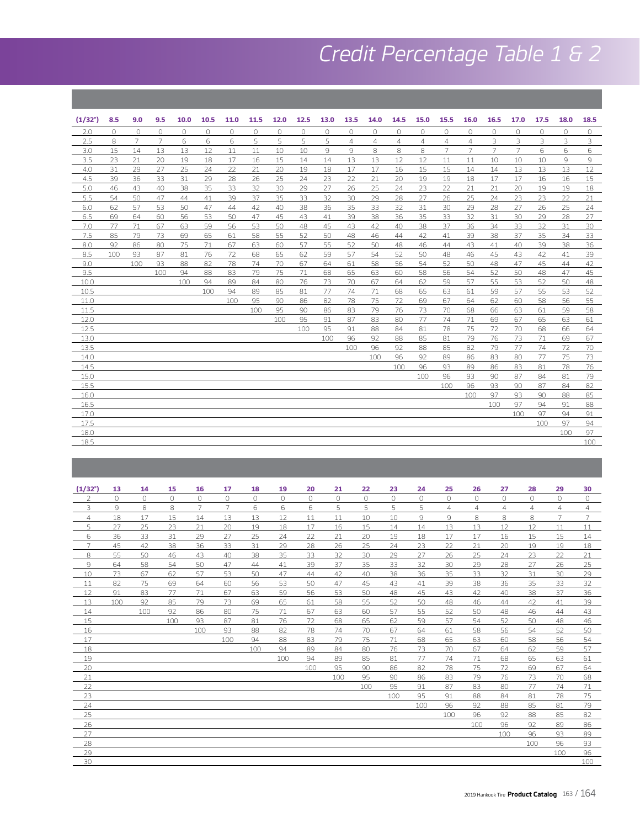# Credit Percentage Table 1 & 2

| (1/32") | 8.5 | 9.0            | 9.5                 | 10.0           | 10.5           | 11.0           | 11.5    | 12.0    | 12.5    | 13.0 | 13.5           | 14.0           | 14.5           | 15.0           | 15.5           | 16.0           | 16.5           | 17.0           | 17.5           | 18.0           | 18.5    |
|---------|-----|----------------|---------------------|----------------|----------------|----------------|---------|---------|---------|------|----------------|----------------|----------------|----------------|----------------|----------------|----------------|----------------|----------------|----------------|---------|
| 2.0     | 0   | $\circ$        | $\circlearrowright$ | $\circledcirc$ | $\circledcirc$ | $\circledcirc$ | $\circ$ | $\circ$ | $\circ$ | 0    | 0              | $\circledcirc$ | $\circ$        | 0              | $\circ$        | $\circ$        | $\circ$        | 0              | $\circledcirc$ | $\circledcirc$ | $\circ$ |
| 2.5     | 8   | $\overline{7}$ | $\overline{7}$      | 6              | 6              | 6              | 5       | 5       | 5       | 5    | $\overline{4}$ | $\overline{4}$ | $\overline{4}$ | $\overline{4}$ | $\overline{4}$ | $\overline{4}$ | 3              | 3              | 3              | 3              | 3       |
| 3.0     | 15  | 14             | 13                  | 13             | 12             | 11             | 11      | 10      | 10      | 9    | 9              | 8              | 8              | 8              | $\overline{7}$ | $\overline{7}$ | $\overline{7}$ | $\overline{7}$ | 6              | 6              | 6       |
| 3.5     | 23  | 21             | 20                  | 19             | 18             | 17             | 16      | 15      | 14      | 14   | 13             | 13             | 12             | 12             | 11             | 11             | 10             | 10             | 10             | 9              | 9       |
| 4.0     | 31  | 29             | 27                  | 25             | 24             | 22             | 21      | 20      | 19      | 18   | 17             | 17             | 16             | 15             | 15             | 14             | 14             | 13             | 13             | 13             | 12      |
| 4.5     | 39  | 36             | 33                  | 31             | 29             | 28             | 26      | 25      | 24      | 23   | 22             | 21             | 20             | 19             | 19             | 18             | 17             | 17             | 16             | 16             | 15      |
| 5.0     | 46  | 43             | 40                  | 38             | 35             | 33             | 32      | 30      | 29      | 27   | 26             | 25             | 24             | 23             | 22             | 21             | 21             | 20             | 19             | 19             | 18      |
| 5.5     | 54  | 50             | 47                  | 44             | 41             | 39             | 37      | 35      | 33      | 32   | 30             | 29             | 28             | 27             | 26             | 25             | 24             | 23             | 23             | 22             | 21      |
| 6.0     | 62  | 57             | 53                  | 50             | 47             | 44             | 42      | 40      | 38      | 36   | 35             | 33             | 32             | 31             | 30             | 29             | 28             | 27             | 26             | 25             | 24      |
| 6.5     | 69  | 64             | 60                  | 56             | 53             | 50             | 47      | 45      | 43      | 41   | 39             | 38             | 36             | 35             | 33             | 32             | 31             | 30             | 29             | 28             | 27      |
| 7.0     | 77  | 71             | 67                  | 63             | 59             | 56             | 53      | 50      | 48      | 45   | 43             | 42             | 40             | 38             | 37             | 36             | 34             | 33             | 32             | 31             | 30      |
| 7.5     | 85  | 79             | 73                  | 69             | 65             | 61             | 58      | 55      | 52      | 50   | 48             | 46             | 44             | 42             | 41             | 39             | 38             | 37             | 35             | 34             | 33      |
| 8.0     | 92  | 86             | 80                  | 75             | 71             | 67             | 63      | 60      | 57      | 55   | 52             | 50             | 48             | 46             | 44             | 43             | 41             | 40             | 39             | 38             | 36      |
| 8.5     | 100 | 93             | 87                  | 81             | 76             | 72             | 68      | 65      | 62      | 59   | 57             | 54             | 52             | 50             | 48             | 46             | 45             | 43             | 42             | 41             | 39      |
| 9.0     |     | 100            | 93                  | 88             | 82             | 78             | 74      | 70      | 67      | 64   | 61             | 58             | 56             | 54             | 52             | 50             | 48             | 47             | 45             | 44             | 42      |
| 9.5     |     |                | 100                 | 94             | 88             | 83             | 79      | 75      | 71      | 68   | 65             | 63             | 60             | 58             | 56             | 54             | 52             | 50             | 48             | 47             | 45      |
| 10.0    |     |                |                     | 100            | 94             | 89             | 84      | 80      | 76      | 73   | 70             | 67             | 64             | 62             | 59             | 57             | 55             | 53             | 52             | 50             | 48      |
| 10.5    |     |                |                     |                | 100            | 94             | 89      | 85      | 81      | 77   | 74             | 71             | 68             | 65             | 63             | 61             | 59             | 57             | 55             | 53             | 52      |
| 11.0    |     |                |                     |                |                | 100            | 95      | 90      | 86      | 82   | 78             | 75             | 72             | 69             | 67             | 64             | 62             | 60             | 58             | 56             | 55      |
| 11.5    |     |                |                     |                |                |                | 100     | 95      | 90      | 86   | 83             | 79             | 76             | 73             | 70             | 68             | 66             | 63             | 61             | 59             | 58      |
| 12.0    |     |                |                     |                |                |                |         | 100     | 95      | 91   | 87             | 83             | 80             | 77             | 74             | 71             | 69             | 67             | 65             | 63             | 61      |
| 12.5    |     |                |                     |                |                |                |         |         | 100     | 95   | 91             | 88             | 84             | 81             | 78             | 75             | 72             | 70             | 68             | 66             | 64      |
| 13.0    |     |                |                     |                |                |                |         |         |         | 100  | 96             | 92             | 88             | 85             | 81             | 79             | 76             | 73             | 71             | 69             | 67      |
| 13.5    |     |                |                     |                |                |                |         |         |         |      | 100            | 96             | 92             | 88             | 85             | 82             | 79             | 77             | 74             | 72             | 70      |
| 14.0    |     |                |                     |                |                |                |         |         |         |      |                | 100            | 96             | 92             | 89             | 86             | 83             | 80             | 77             | 75             | 73      |
| 14.5    |     |                |                     |                |                |                |         |         |         |      |                |                | 100            | 96             | 93             | 89             | 86             | 83             | 81             | 78             | 76      |
| 15.0    |     |                |                     |                |                |                |         |         |         |      |                |                |                | 100            | 96             | 93             | 90             | 87             | 84             | 81             | 79      |
| 15.5    |     |                |                     |                |                |                |         |         |         |      |                |                |                |                | 100            | 96             | 93             | 90             | 87             | 84             | 82      |
| 16.0    |     |                |                     |                |                |                |         |         |         |      |                |                |                |                |                | 100            | 97             | 93             | 90             | 88             | 85      |
| 16.5    |     |                |                     |                |                |                |         |         |         |      |                |                |                |                |                |                | 100            | 97             | 94             | 91             | 88      |
| 17.0    |     |                |                     |                |                |                |         |         |         |      |                |                |                |                |                |                |                | 100            | 97             | 94             | 91      |
| 17.5    |     |                |                     |                |                |                |         |         |         |      |                |                |                |                |                |                |                |                | 100            | 97             | 94      |
| 18.0    |     |                |                     |                |                |                |         |         |         |      |                |                |                |                |                |                |                |                |                | 100            | 97      |
| 18.5    |     |                |                     |                |                |                |         |         |         |      |                |                |                |                |                |                |                |                |                |                | 100     |

| (1/32 <sup>n</sup> )    | 13      | 14      | 15      | 16             | 17             | 18  | 19      | 20      | 21      | 22      | 23      | 24             | 25             | 26             | 27             | 28             | 29             | 30             |
|-------------------------|---------|---------|---------|----------------|----------------|-----|---------|---------|---------|---------|---------|----------------|----------------|----------------|----------------|----------------|----------------|----------------|
| 2                       | $\circ$ | $\circ$ | $\circ$ | $\circ$        | $\circ$        | 0   | $\circ$ | $\circ$ | $\circ$ | $\circ$ | $\circ$ | $\circ$        | $\circ$        | $\circ$        | $\circ$        | 0              | 0              | 0              |
| $\overline{\mathbf{3}}$ | 9       | 8       | 8       | $\overline{7}$ | $\overline{7}$ | 6   | 6       | 6       | 5       | 5       | 5       | 5              | $\overline{4}$ | $\overline{4}$ | $\overline{4}$ | $\overline{4}$ | 4              | $\overline{4}$ |
| $\overline{4}$          | 18      | 17      | 15      | 14             | 13             | 13  | 12      | 11      | 11      | 10      | 10      | $\overline{9}$ | 9              | 8              | 8              | 8              | $\overline{7}$ | $\overline{7}$ |
| 5                       | 27      | 25      | 23      | 21             | 20             | 19  | 18      | 17      | 16      | 15      | 14      | 14             | 13             | 13             | 12             | 12             | 11             | 11             |
| 6                       | 36      | 33      | 31      | 29             | 27             | 25  | 24      | 22      | 21      | 20      | 19      | 18             | 17             | 17             | 16             | 15             | 15             | 14             |
| $\overline{7}$          | 45      | 42      | 38      | 36             | 33             | 31  | 29      | 28      | 26      | 25      | 24      | 23             | 22             | 21             | 20             | 19             | 19             | 18             |
| 8                       | 55      | 50      | 46      | 43             | 40             | 38  | 35      | 33      | 32      | 30      | 29      | 27             | 26             | 25             | 24             | 23             | 22             | 21             |
| $\overline{9}$          | 64      | 58      | 54      | 50             | 47             | 44  | 41      | 39      | 37      | 35      | 33      | 32             | 30             | 29             | 28             | 27             | 26             | 25             |
| 10                      | 73      | 67      | 62      | 57             | 53             | 50  | 47      | 44      | 42      | 40      | 38      | 36             | 35             | 33             | 32             | 31             | 30             | 29             |
| 11                      | 82      | 75      | 69      | 64             | 60             | 56  | 53      | 50      | 47      | 45      | 43      | 41             | 39             | 38             | 36             | 35             | 33             | 32             |
| 12                      | 91      | 83      | 77      | 71             | 67             | 63  | 59      | 56      | 53      | 50      | 48      | 45             | 43             | 42             | 40             | 38             | 37             | 36             |
| 13                      | 100     | 92      | 85      | 79             | 73             | 69  | 65      | 61      | 58      | 55      | 52      | 50             | 48             | 46             | 44             | 42             | 41             | 39             |
| 14                      |         | 100     | 92      | 86             | 80             | 75  | 71      | 67      | 63      | 60      | 57      | 55             | 52             | 50             | 48             | 46             | 44             | 43             |
| 15                      |         |         | 100     | 93             | 87             | 81  | 76      | 72      | 68      | 65      | 62      | 59             | 57             | 54             | 52             | 50             | 48             | 46             |
| 16                      |         |         |         | 100            | 93             | 88  | 82      | 78      | 74      | 70      | 67      | 64             | 61             | 58             | 56             | 54             | 52             | 50             |
| 17                      |         |         |         |                | 100            | 94  | 88      | 83      | 79      | 75      | 71      | 68             | 65             | 63             | 60             | 58             | 56             | 54             |
| 18                      |         |         |         |                |                | 100 | 94      | 89      | 84      | 80      | 76      | 73             | 70             | 67             | 64             | 62             | 59             | 57             |
| 19                      |         |         |         |                |                |     | 100     | 94      | 89      | 85      | 81      | 77             | 74             | 71             | 68             | 65             | 63             | 61             |
| 20                      |         |         |         |                |                |     |         | 100     | 95      | 90      | 86      | 82             | 78             | 75             | 72             | 69             | 67             | 64             |
| 21                      |         |         |         |                |                |     |         |         | 100     | 95      | 90      | 86             | 83             | 79             | 76             | 73             | 70             | 68             |
| 22                      |         |         |         |                |                |     |         |         |         | 100     | 95      | 91             | 87             | 83             | 80             | 77             | 74             | 71             |
| 23                      |         |         |         |                |                |     |         |         |         |         | 100     | 95             | 91             | 88             | 84             | 81             | 78             | 75             |
| 24                      |         |         |         |                |                |     |         |         |         |         |         | 100            | 96             | 92             | 88             | 85             | 81             | 79             |
| 25                      |         |         |         |                |                |     |         |         |         |         |         |                | 100            | 96             | 92             | 88             | 85             | 82             |
| 26                      |         |         |         |                |                |     |         |         |         |         |         |                |                | 100            | 96             | 92             | 89             | 86             |
| 27                      |         |         |         |                |                |     |         |         |         |         |         |                |                |                | 100            | 96             | 93             | 89             |
| 28                      |         |         |         |                |                |     |         |         |         |         |         |                |                |                |                | 100            | 96             | 93             |
| 29                      |         |         |         |                |                |     |         |         |         |         |         |                |                |                |                |                | 100            | 96             |
| 30                      |         |         |         |                |                |     |         |         |         |         |         |                |                |                |                |                |                | 100            |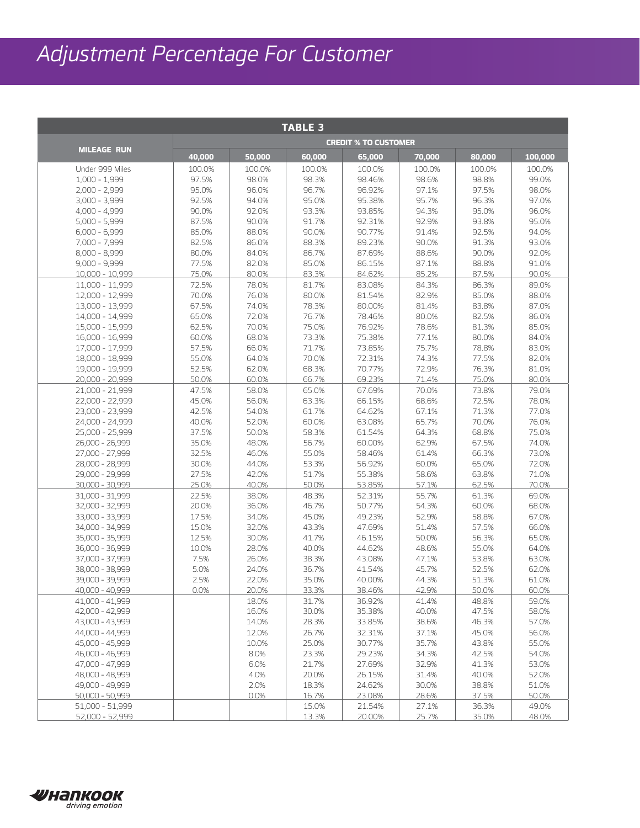# Adjustment Percentage For Customer

|                                    |              |                | <b>TABLE 3</b> |                             |                |                |                |
|------------------------------------|--------------|----------------|----------------|-----------------------------|----------------|----------------|----------------|
| <b>MILEAGE RUN</b>                 |              |                |                | <b>CREDIT % TO CUSTOMER</b> |                |                |                |
|                                    | 40,000       | 50,000         | 60,000         | 65,000                      | 70,000         | 80,000         | 100,000        |
| Under 999 Miles                    | 100.0%       | 100.0%         | 100.0%         | 100.0%                      | 100.0%         | 100.0%         | 100.0%         |
| $1.000 - 1.999$                    | 97.5%        | 98.0%          | 98.3%          | 98.46%                      | 98.6%          | 98.8%          | 99.0%          |
| 2,000 - 2,999                      | 95.0%        | 96.0%          | 96.7%          | 96.92%                      | 97.1%          | 97.5%          | 98.0%          |
| $3,000 - 3,999$                    | 92.5%        | 94.0%          | 95.0%          | 95.38%                      | 95.7%          | 96.3%          | 97.0%          |
| $4,000 - 4,999$                    | 90.0%        | 92.0%          | 93.3%          | 93.85%                      | 94.3%          | 95.0%          | 96.0%          |
| $5,000 - 5,999$                    | 87.5%        | 90.0%          | 91.7%          | 92.31%                      | 92.9%          | 93.8%          | 95.0%          |
| $6,000 - 6,999$                    | 85.0%        | 88.0%          | 90.0%          | 90.77%                      | 91.4%          | 92.5%          | 94.0%          |
| 7,000 - 7,999                      | 82.5%        | 86.0%          | 88.3%          | 89.23%                      | 90.0%          | 91.3%          | 93.0%          |
| 8,000 - 8,999                      | 80.0%        | 84.0%          | 86.7%          | 87.69%                      | 88.6%          | 90.0%          | 92.0%          |
| $9,000 - 9,999$                    | 77.5%        | 82.0%          | 85.0%          | 86.15%                      | 87.1%          | 88.8%          | 91.0%          |
| 10,000 - 10,999                    | 75.0%        | 80.0%          | 83.3%          | 84.62%                      | 85.2%          | 87.5%          | 90.0%          |
| 11,000 - 11,999                    | 72.5%        | 78.0%          | 81.7%          | 83.08%                      | 84.3%          | 86.3%          | 89.0%          |
| 12,000 - 12,999                    | 70.0%        | 76.0%          | 80.0%          | 81.54%                      | 82.9%          | 85.0%          | 88.0%          |
| 13,000 - 13,999                    | 67.5%        | 74.0%          | 78.3%          | 80.00%                      | 81.4%          | 83.8%          | 87.0%          |
| 14,000 - 14,999                    | 65.0%        | 72.0%          | 76.7%          | 78.46%                      | 80.0%          | 82.5%          | 86.0%          |
| 15,000 - 15,999                    | 62.5%        | 70.0%          | 75.0%          | 76.92%                      | 78.6%          | 81.3%          | 85.0%          |
| 16.000 - 16.999                    | 60.0%        | 68.0%          | 73.3%          | 75.38%                      | 77.1%          | 80.0%          | 84.0%          |
| 17,000 - 17,999                    | 57.5%        | 66.0%          | 71.7%          | 73.85%                      | 75.7%          | 78.8%          | 83.0%          |
| 18,000 - 18,999                    | 55.0%        | 64.0%          | 70.0%          | 72.31%                      | 74.3%          | 77.5%          | 82.0%          |
| 19,000 - 19,999                    | 52.5%        | 62.0%          | 68.3%          | 70.77%                      | 72.9%          | 76.3%          | 81.0%          |
| 20,000 - 20,999                    | 50.0%        | 60.0%          | 66.7%          | 69.23%                      | 71.4%          | 75.0%          | 80.0%          |
| 21,000 - 21,999                    | 47.5%        | 58.0%          | 65.0%          | 67.69%                      | 70.0%          | 73.8%          | 79.0%          |
| 22,000 - 22,999                    | 45.0%        | 56.0%          | 63.3%          | 66.15%                      | 68.6%          | 72.5%          | 78.0%          |
| 23,000 - 23,999                    | 42.5%        | 54.0%          | 61.7%          | 64.62%                      | 67.1%          | 71.3%          | 77.0%          |
| 24,000 - 24,999                    | 40.0%        | 52.0%          | 60.0%          | 63.08%                      | 65.7%          | 70.0%          | 76.0%          |
| 25,000 - 25,999                    | 37.5%        | 50.0%          | 58.3%          | 61.54%                      | 64.3%          | 68.8%          | 75.0%          |
| 26,000 - 26,999                    | 35.0%        | 48.0%          | 56.7%          | 60.00%                      | 62.9%          | 67.5%          | 74.0%          |
| 27,000 - 27,999                    | 32.5%        | 46.0%          | 55.0%          | 58.46%                      | 61.4%          | 66.3%          | 73.0%          |
| 28,000 - 28,999                    | 30.0%        | 44.0%          | 53.3%          | 56.92%                      | 60.0%          | 65.0%          | 72.0%          |
| 29,000 - 29,999                    | 27.5%        | 42.0%          | 51.7%          | 55.38%                      | 58.6%          | 63.8%          | 71.0%          |
| 30,000 - 30,999                    | 25.0%        | 40.0%          | 50.0%          | 53.85%                      | 57.1%          | 62.5%          | 70.0%          |
| 31,000 - 31,999                    | 22.5%        | 38.0%          | 48.3%          | 52.31%                      | 55.7%          | 61.3%          | 69.0%          |
| 32,000 - 32,999                    | 20.0%        | 36.0%          | 46.7%          | 50.77%                      | 54.3%          | 60.0%          | 68.0%          |
| 33,000 - 33,999                    | 17.5%        | 34.0%          | 45.0%          | 49.23%                      | 52.9%          | 58.8%          | 67.0%          |
| 34,000 - 34,999                    | 15.0%        | 32.0%          | 43.3%          | 47.69%                      | 51.4%          | 57.5%          | 66.0%          |
| 35,000 - 35,999                    | 12.5%        | 30.0%          | 41.7%          | 46.15%                      | 50.0%          | 56.3%          | 65.0%          |
| 36,000 - 36,999                    | 10.0%        | 28.0%          | 40.0%          | 44.62%                      | 48.6%          | 55.0%          | 64.0%<br>63.0% |
| 37,000 - 37,999<br>38,000 - 38,999 | 7.5%<br>5.0% | 26.0%<br>24.0% | 38.3%<br>36.7% | 43.08%                      | 47.1%<br>45.7% | 53.8%          |                |
| 39,000 - 39,999                    | 2.5%         | 22.0%          | 35.0%          | 41.54%<br>40.00%            | 44.3%          | 52.5%<br>51.3% | 62.0%<br>61.0% |
|                                    | 0.0%         | 20.0%          | 33.3%          | 38.46%                      | 42.9%          | 50.0%          | 60.0%          |
| 40,000 - 40,999<br>41,000 - 41,999 |              | 18.0%          | 31.7%          | 36.92%                      | 41.4%          | 48.8%          | 59.0%          |
| 42,000 - 42,999                    |              | 16.0%          | 30.0%          | 35.38%                      | 40.0%          | 47.5%          | 58.0%          |
| 43,000 - 43,999                    |              | 14.0%          | 28.3%          | 33.85%                      | 38.6%          | 46.3%          | 57.0%          |
| 44,000 - 44,999                    |              |                |                |                             |                |                | 56.0%          |
| 45.000 - 45.999                    |              | 12.0%<br>10.0% | 26.7%<br>25.0% | 32.31%<br>30.77%            | 37.1%<br>35.7% | 45.0%<br>43.8% | 55.0%          |
| 46,000 - 46,999                    |              | 8.0%           | 23.3%          | 29.23%                      | 34.3%          | 42.5%          | 54.0%          |
| 47,000 - 47,999                    |              | 6.0%           | 21.7%          | 27.69%                      | 32.9%          | 41.3%          | 53.0%          |
| 48,000 - 48,999                    |              | 4.0%           | 20.0%          | 26.15%                      | 31.4%          | 40.0%          | 52.0%          |
| 49,000 - 49,999                    |              | 2.0%           | 18.3%          | 24.62%                      | 30.0%          | 38.8%          | 51.0%          |
| 50,000 - 50,999                    |              | 0.0%           | 16.7%          | 23.08%                      | 28.6%          | 37.5%          | 50.0%          |
| 51,000 - 51,999                    |              |                | 15.0%          | 21.54%                      | 27.1%          | 36.3%          | 49.0%          |
| 52,000 - 52,999                    |              |                | 13.3%          | 20.00%                      | 25.7%          | 35.0%          | 48.0%          |

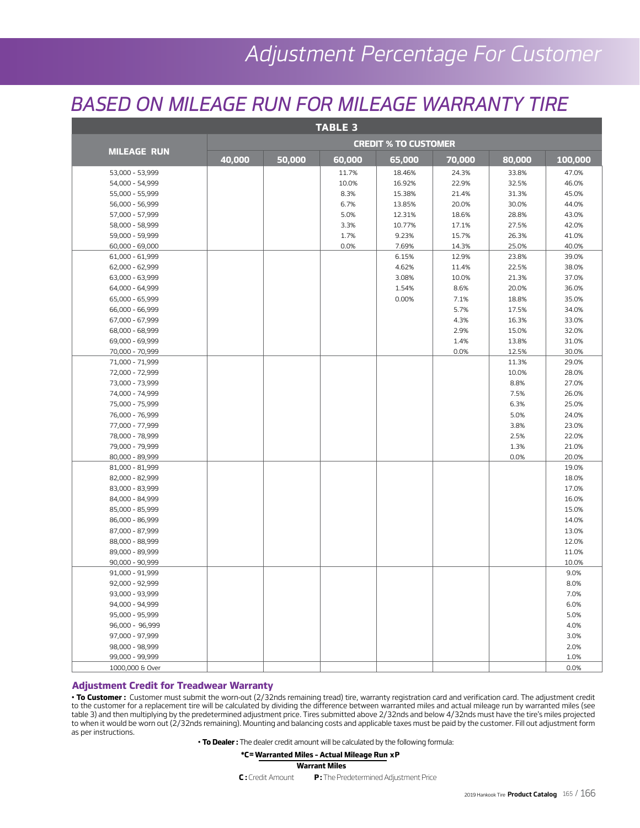# Adjustment Percentage For Customer

### BASED ON MILEAGE RUN FOR MILEAGE WARRANTY TIRE

|                    |        |        | <b>TABLE 3</b> |                             |        |        |         |
|--------------------|--------|--------|----------------|-----------------------------|--------|--------|---------|
| <b>MILEAGE RUN</b> |        |        |                | <b>CREDIT % TO CUSTOMER</b> |        |        |         |
|                    | 40,000 | 50,000 | 60,000         | 65,000                      | 70,000 | 80,000 | 100,000 |
| 53,000 - 53,999    |        |        | 11.7%          | 18.46%                      | 24.3%  | 33.8%  | 47.0%   |
| 54,000 - 54,999    |        |        | 10.0%          | 16.92%                      | 22.9%  | 32.5%  | 46.0%   |
| 55,000 - 55,999    |        |        | 8.3%           | 15.38%                      | 21.4%  | 31.3%  | 45.0%   |
| 56,000 - 56,999    |        |        | 6.7%           | 13.85%                      | 20.0%  | 30.0%  | 44.0%   |
| 57,000 - 57,999    |        |        | 5.0%           | 12.31%                      | 18.6%  | 28.8%  | 43.0%   |
| 58,000 - 58,999    |        |        | 3.3%           | 10.77%                      | 17.1%  | 27.5%  | 42.0%   |
| 59,000 - 59,999    |        |        | 1.7%           | 9.23%                       | 15.7%  | 26.3%  | 41.0%   |
| 60,000 - 69,000    |        |        | 0.0%           | 7.69%                       | 14.3%  | 25.0%  | 40.0%   |
| 61,000 - 61,999    |        |        |                | 6.15%                       | 12.9%  | 23.8%  | 39.0%   |
| 62,000 - 62,999    |        |        |                | 4.62%                       | 11.4%  | 22.5%  | 38.0%   |
| 63,000 - 63,999    |        |        |                | 3.08%                       | 10.0%  | 21.3%  | 37.0%   |
| 64,000 - 64,999    |        |        |                | 1.54%                       | 8.6%   | 20.0%  | 36.0%   |
| 65,000 - 65,999    |        |        |                | 0.00%                       | 7.1%   | 18.8%  | 35.0%   |
| 66,000 - 66,999    |        |        |                |                             | 5.7%   | 17.5%  | 34.0%   |
| 67,000 - 67,999    |        |        |                |                             | 4.3%   | 16.3%  | 33.0%   |
| 68,000 - 68,999    |        |        |                |                             | 2.9%   | 15.0%  | 32.0%   |
| 69,000 - 69,999    |        |        |                |                             | 1.4%   | 13.8%  | 31.0%   |
| 70,000 - 70,999    |        |        |                |                             | 0.0%   | 12.5%  | 30.0%   |
| 71,000 - 71,999    |        |        |                |                             |        | 11.3%  | 29.0%   |
| 72,000 - 72,999    |        |        |                |                             |        | 10.0%  | 28.0%   |
| 73,000 - 73,999    |        |        |                |                             |        | 8.8%   | 27.0%   |
| 74,000 - 74,999    |        |        |                |                             |        | 7.5%   | 26.0%   |
| 75,000 - 75,999    |        |        |                |                             |        | 6.3%   | 25.0%   |
| 76,000 - 76,999    |        |        |                |                             |        | 5.0%   | 24.0%   |
| 77,000 - 77,999    |        |        |                |                             |        | 3.8%   | 23.0%   |
| 78,000 - 78,999    |        |        |                |                             |        | 2.5%   | 22.0%   |
| 79,000 - 79,999    |        |        |                |                             |        | 1.3%   | 21.0%   |
| 80,000 - 89,999    |        |        |                |                             |        | 0.0%   | 20.0%   |
| 81,000 - 81,999    |        |        |                |                             |        |        | 19.0%   |
| 82,000 - 82,999    |        |        |                |                             |        |        | 18.0%   |
| 83,000 - 83,999    |        |        |                |                             |        |        | 17.0%   |
| 84,000 - 84,999    |        |        |                |                             |        |        | 16.0%   |
| 85,000 - 85,999    |        |        |                |                             |        |        | 15.0%   |
| 86,000 - 86,999    |        |        |                |                             |        |        | 14.0%   |
| 87,000 - 87,999    |        |        |                |                             |        |        | 13.0%   |
| 88,000 - 88,999    |        |        |                |                             |        |        | 12.0%   |
| 89,000 - 89,999    |        |        |                |                             |        |        | 11.0%   |
| 90,000 - 90,999    |        |        |                |                             |        |        | 10.0%   |
| 91,000 - 91,999    |        |        |                |                             |        |        | 9.0%    |
| 92,000 - 92,999    |        |        |                |                             |        |        | 8.0%    |
| 93,000 - 93,999    |        |        |                |                             |        |        | 7.0%    |
| 94,000 - 94,999    |        |        |                |                             |        |        | 6.0%    |
| 95,000 - 95,999    |        |        |                |                             |        |        | 5.0%    |
| 96,000 - 96,999    |        |        |                |                             |        |        | 4.0%    |
| 97,000 - 97,999    |        |        |                |                             |        |        | 3.0%    |
| 98,000 - 98,999    |        |        |                |                             |        |        | 2.0%    |
| 99,000 - 99,999    |        |        |                |                             |        |        | 1.0%    |
| 1000,000 & Over    |        |        |                |                             |        |        | 0.0%    |

### **Adjustment Credit for Treadwear Warranty**

**• To Customer :** Customer must submit the worn-out (2/32nds remaining tread) tire, warranty registration card and verification card. The adjustment credit to the customer for a replacement tire will be calculated by dividing the difference between warranted miles and actual mileage run by warranted miles (see table 3) and then multiplying by the predetermined adjustment price. Tires submitted above 2/32nds and below 4/32nds must have the tire's miles projected to when it would be worn out (2/32nds remaining). Mounting and balancing costs and applicable taxes must be paid by the customer. Fill out adjustment form as per instructions.

**• To Dealer :** The dealer credit amount will be calculated by the following formula:

**Warranted Miles – Actual Mileage Run \*C= x P**

**Warrant Miles**

**C :** Credit Amount **P :** The Predetermined Adjustment Price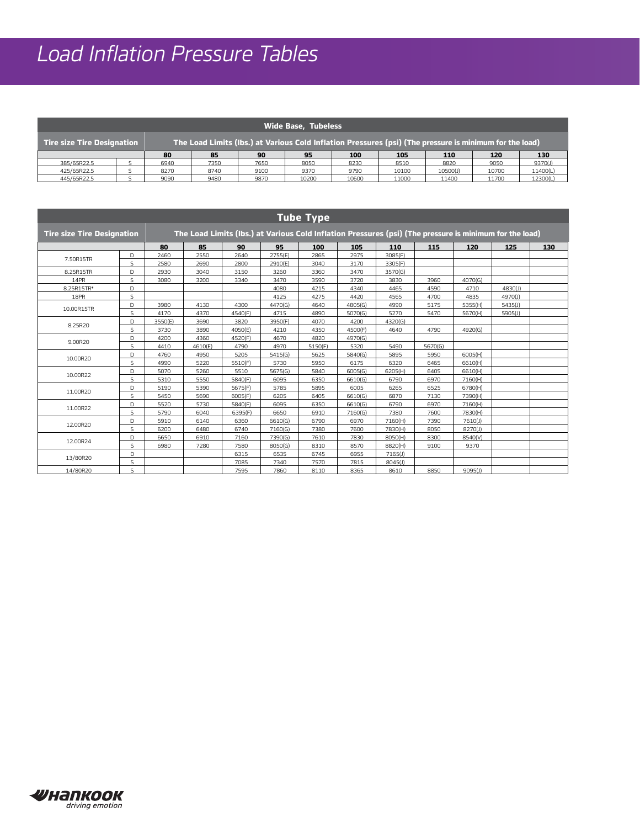# Load Inflation Pressure Tables

| Wide Base, Tubeless               |  |                                                                                                                  |      |      |       |       |       |          |       |          |  |  |
|-----------------------------------|--|------------------------------------------------------------------------------------------------------------------|------|------|-------|-------|-------|----------|-------|----------|--|--|
| <b>Tire size Tire Designation</b> |  | $'$ The Load Limits (Ibs.) at Various Cold Inflation Pressures (psi) (The pressure is minimum for the load) $_0$ |      |      |       |       |       |          |       |          |  |  |
|                                   |  | 80                                                                                                               | 85   | 90   | 95    | 100   | 105   | 110      | 120   | 130      |  |  |
| 385/65R22.5                       |  | 6940                                                                                                             | 7350 | 7650 | 8050  | 8230  | 8510  | 8820     | 9050  | 9370(J)  |  |  |
| 425/65R22.5                       |  | 8270                                                                                                             | 8740 | 9100 | 9370  | 9790  | 10100 | 10500(J) | 10700 | 11400(L) |  |  |
| 445/65R22.5                       |  | 9090                                                                                                             | 9480 | 9870 | 10200 | 10600 | 11000 | 11400    | 11700 | 12300(L) |  |  |

| <b>Tube Type</b>                                                                                                                             |              |         |         |         |         |         |         |         |         |         |         |     |
|----------------------------------------------------------------------------------------------------------------------------------------------|--------------|---------|---------|---------|---------|---------|---------|---------|---------|---------|---------|-----|
| The Load Limits (Ibs.) at Various Cold Inflation Pressures (psi) (The pressure is minimum for the load)<br><b>Tire size Tire Designation</b> |              |         |         |         |         |         |         |         |         |         |         |     |
|                                                                                                                                              |              | 80      | 85      | 90      | 95      | 100     | 105     | 110     | 115     | 120     | 125     | 130 |
| 7.50R15TR                                                                                                                                    | D            | 2460    | 2550    | 2640    | 2755(E) | 2865    | 2975    | 3085(F) |         |         |         |     |
|                                                                                                                                              | $\mathsf{S}$ | 2580    | 2690    | 2800    | 2910(E) | 3040    | 3170    | 3305(F) |         |         |         |     |
| 8.25R15TR                                                                                                                                    | D            | 2930    | 3040    | 3150    | 3260    | 3360    | 3470    | 3570(G) |         |         |         |     |
| 14PR                                                                                                                                         | s            | 3080    | 3200    | 3340    | 3470    | 3590    | 3720    | 3830    | 3960    | 4070(G) |         |     |
| 8.25R15TR*                                                                                                                                   | D            |         |         |         | 4080    | 4215    | 4340    | 4465    | 4590    | 4710    | 4830(J) |     |
| 18PR                                                                                                                                         | S            |         |         |         | 4125    | 4275    | 4420    | 4565    | 4700    | 4835    | 4970(J) |     |
|                                                                                                                                              | D            | 3980    | 4130    | 4300    | 4470(G) | 4640    | 4805(G) | 4990    | 5175    | 5355(H) | 5435(J) |     |
| 10.00R15TR                                                                                                                                   | S            | 4170    | 4370    | 4540(F) | 4715    | 4890    | 5070(G) | 5270    | 5470    | 5670(H) | 5905(J) |     |
|                                                                                                                                              | D            | 3550(E) | 3690    | 3820    | 3950(F) | 4070    | 4200    | 4320(G) |         |         |         |     |
| 8.25R20                                                                                                                                      | $\mathsf S$  | 3730    | 3890    | 4050(E) | 4210    | 4350    | 4500(F) | 4640    | 4790    | 4920(G) |         |     |
|                                                                                                                                              | D            | 4200    | 4360    | 4520(F) | 4670    | 4820    | 4970(G) |         |         |         |         |     |
| 9.00R20                                                                                                                                      | $\mathsf{S}$ | 4410    | 4610(E) | 4790    | 4970    | 5150(F) | 5320    | 5490    | 5670(G) |         |         |     |
|                                                                                                                                              | $\Box$       | 4760    | 4950    | 5205    | 5415(G) | 5625    | 5840(G) | 5895    | 5950    | 6005(H) |         |     |
| 10.00R20                                                                                                                                     | S            | 4990    | 5220    | 5510(F) | 5730    | 5950    | 6175    | 6320    | 6465    | 6610(H) |         |     |
|                                                                                                                                              | D            | 5070    | 5260    | 5510    | 5675(G) | 5840    | 6005(G) | 6205(H) | 6405    | 6610(H) |         |     |
| 10.00R22                                                                                                                                     | $\mathsf S$  | 5310    | 5550    | 5840(F) | 6095    | 6350    | 6610(G) | 6790    | 6970    | 7160(H) |         |     |
|                                                                                                                                              | D            | 5190    | 5390    | 5675(F) | 5785    | 5895    | 6005    | 6265    | 6525    | 6780(H) |         |     |
| 11.00R20                                                                                                                                     | S            | 5450    | 5690    | 6005(F) | 6205    | 6405    | 6610(G) | 6870    | 7130    | 7390(H) |         |     |
| 11.00R22                                                                                                                                     | D            | 5520    | 5730    | 5840(F) | 6095    | 6350    | 6610(G) | 6790    | 6970    | 7160(H) |         |     |
|                                                                                                                                              | S            | 5790    | 6040    | 6395(F) | 6650    | 6910    | 7160(G) | 7380    | 7600    | 7830(H) |         |     |
| 12.00R20                                                                                                                                     | D            | 5910    | 6140    | 6360    | 6610(G) | 6790    | 6970    | 7160(H) | 7390    | 7610(J) |         |     |
|                                                                                                                                              | S            | 6200    | 6480    | 6740    | 7160(G) | 7380    | 7600    | 7830(H) | 8050    | 8270(J) |         |     |
| 12.00R24                                                                                                                                     | D            | 6650    | 6910    | 7160    | 7390(G) | 7610    | 7830    | 8050(H) | 8300    | 8540(V) |         |     |
|                                                                                                                                              | S            | 6980    | 7280    | 7580    | 8050(G) | 8310    | 8570    | 8820(H) | 9100    | 9370    |         |     |
| 13/80R20                                                                                                                                     | D            |         |         | 6315    | 6535    | 6745    | 6955    | 7165(J) |         |         |         |     |
|                                                                                                                                              | S            |         |         | 7085    | 7340    | 7570    | 7815    | 8045(J) |         |         |         |     |
| 14/80R20                                                                                                                                     | S            |         |         | 7595    | 7860    | 8110    | 8365    | 8610    | 8850    | 9095(J) |         |     |